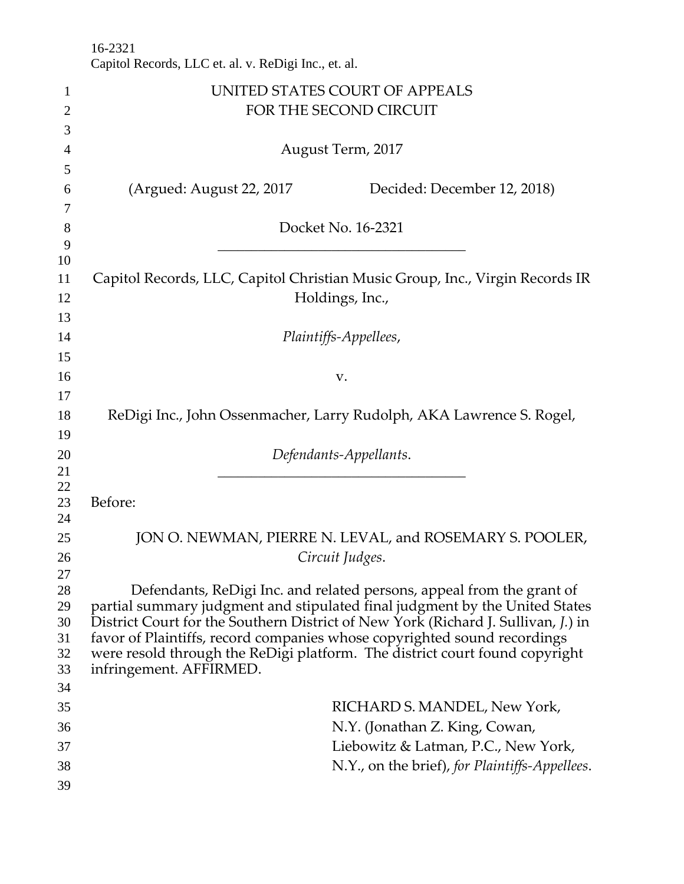|                | 16-2321<br>Capitol Records, LLC et. al. v. ReDigi Inc., et. al.                                                                                               |
|----------------|---------------------------------------------------------------------------------------------------------------------------------------------------------------|
| $\mathbf{1}$   | UNITED STATES COURT OF APPEALS                                                                                                                                |
| $\overline{2}$ | FOR THE SECOND CIRCUIT                                                                                                                                        |
| 3              |                                                                                                                                                               |
| $\overline{4}$ | August Term, 2017                                                                                                                                             |
| 5              |                                                                                                                                                               |
| 6              | (Argued: August 22, 2017)<br>Decided: December 12, 2018)                                                                                                      |
| 7              |                                                                                                                                                               |
| 8              | Docket No. 16-2321                                                                                                                                            |
| 9              |                                                                                                                                                               |
| 10             |                                                                                                                                                               |
| 11             | Capitol Records, LLC, Capitol Christian Music Group, Inc., Virgin Records IR                                                                                  |
| 12             | Holdings, Inc.,                                                                                                                                               |
| 13             |                                                                                                                                                               |
| 14             | Plaintiffs-Appellees,                                                                                                                                         |
| 15             |                                                                                                                                                               |
| 16             | V.                                                                                                                                                            |
| 17             |                                                                                                                                                               |
| 18             | ReDigi Inc., John Ossenmacher, Larry Rudolph, AKA Lawrence S. Rogel,                                                                                          |
| 19             |                                                                                                                                                               |
| 20             | Defendants-Appellants.                                                                                                                                        |
| 21             |                                                                                                                                                               |
| 22<br>23       | Before:                                                                                                                                                       |
| 24             |                                                                                                                                                               |
| 25             | JON O. NEWMAN, PIERRE N. LEVAL, and ROSEMARY S. POOLER,                                                                                                       |
| 26             | Circuit Judges.                                                                                                                                               |
| 27             |                                                                                                                                                               |
| 28             | Defendants, ReDigi Inc. and related persons, appeal from the grant of                                                                                         |
| 29             | partial summary judgment and stipulated final judgment by the United States                                                                                   |
| 30<br>31       | District Court for the Southern District of New York (Richard J. Sullivan, J.) in<br>favor of Plaintiffs, record companies whose copyrighted sound recordings |
| 32             | were resold through the ReDigi platform. The district court found copyright                                                                                   |
| 33             | infringement. AFFIRMED.                                                                                                                                       |
| 34             |                                                                                                                                                               |
| 35             | RICHARD S. MANDEL, New York,                                                                                                                                  |
| 36             | N.Y. (Jonathan Z. King, Cowan,                                                                                                                                |
| 37             | Liebowitz & Latman, P.C., New York,                                                                                                                           |
| 38             | N.Y., on the brief), for Plaintiffs-Appellees.                                                                                                                |
| 39             |                                                                                                                                                               |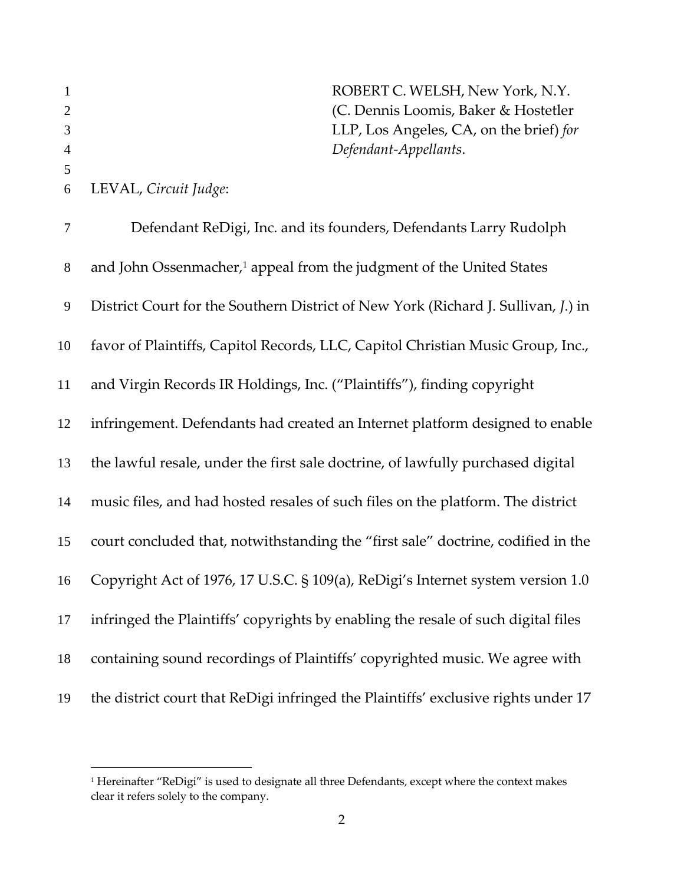|   |                       | ROBERT C. WELSH, New York, N.Y.         |
|---|-----------------------|-----------------------------------------|
| 2 |                       | (C. Dennis Loomis, Baker & Hostetler)   |
|   |                       | LLP, Los Angeles, CA, on the brief) for |
| 4 |                       | Defendant-Appellants.                   |
|   |                       |                                         |
| 6 | LEVAL, Circuit Judge: |                                         |

| $\boldsymbol{7}$ | Defendant ReDigi, Inc. and its founders, Defendants Larry Rudolph                  |
|------------------|------------------------------------------------------------------------------------|
| $8\,$            | and John Ossenmacher, <sup>1</sup> appeal from the judgment of the United States   |
| $\boldsymbol{9}$ | District Court for the Southern District of New York (Richard J. Sullivan, J.) in  |
| 10               | favor of Plaintiffs, Capitol Records, LLC, Capitol Christian Music Group, Inc.,    |
| 11               | and Virgin Records IR Holdings, Inc. ("Plaintiffs"), finding copyright             |
| 12               | infringement. Defendants had created an Internet platform designed to enable       |
| 13               | the lawful resale, under the first sale doctrine, of lawfully purchased digital    |
| 14               | music files, and had hosted resales of such files on the platform. The district    |
| 15               | court concluded that, notwithstanding the "first sale" doctrine, codified in the   |
| 16               | Copyright Act of 1976, 17 U.S.C. § 109(a), ReDigi's Internet system version 1.0    |
| 17               | infringed the Plaintiffs' copyrights by enabling the resale of such digital files  |
| 18               | containing sound recordings of Plaintiffs' copyrighted music. We agree with        |
| 19               | the district court that ReDigi infringed the Plaintiffs' exclusive rights under 17 |

 Hereinafter "ReDigi" is used to designate all three Defendants, except where the context makes clear it refers solely to the company.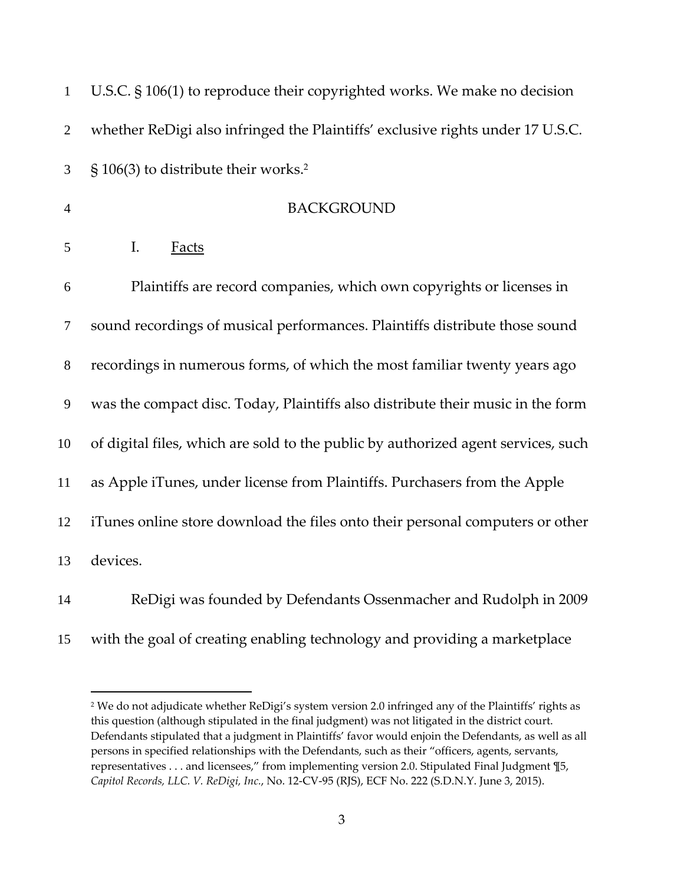| $\mathbf{1}$   | U.S.C. § 106(1) to reproduce their copyrighted works. We make no decision         |
|----------------|-----------------------------------------------------------------------------------|
| $\overline{2}$ | whether ReDigi also infringed the Plaintiffs' exclusive rights under 17 U.S.C.    |
| 3              | § 106(3) to distribute their works. <sup>2</sup>                                  |
| $\overline{4}$ | <b>BACKGROUND</b>                                                                 |
| 5              | I.<br><b>Facts</b>                                                                |
| 6              | Plaintiffs are record companies, which own copyrights or licenses in              |
| $\tau$         | sound recordings of musical performances. Plaintiffs distribute those sound       |
| $8\,$          | recordings in numerous forms, of which the most familiar twenty years ago         |
| $\mathbf{9}$   | was the compact disc. Today, Plaintiffs also distribute their music in the form   |
| 10             | of digital files, which are sold to the public by authorized agent services, such |
| 11             | as Apple iTunes, under license from Plaintiffs. Purchasers from the Apple         |
| 12             | iTunes online store download the files onto their personal computers or other     |
| 13             | devices.                                                                          |
| 14             | ReDigi was founded by Defendants Ossenmacher and Rudolph in 2009                  |
| 15             | with the goal of creating enabling technology and providing a marketplace         |

 We do not adjudicate whether ReDigi's system version 2.0 infringed any of the Plaintiffs' rights as this question (although stipulated in the final judgment) was not litigated in the district court. Defendants stipulated that a judgment in Plaintiffs' favor would enjoin the Defendants, as well as all persons in specified relationships with the Defendants, such as their "officers, agents, servants, representatives . . . and licensees," from implementing version 2.0. Stipulated Final Judgment ¶5, *Capitol Records, LLC. V. ReDigi, Inc.*, No. 12‐CV‐95 (RJS), ECF No. 222 (S.D.N.Y. June 3, 2015).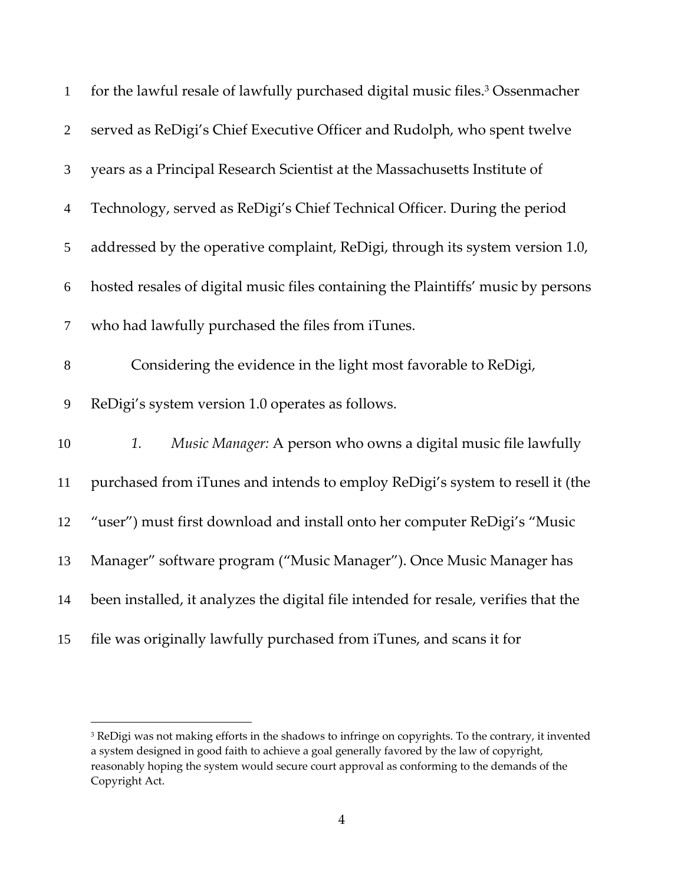| $\mathbf{1}$     | for the lawful resale of lawfully purchased digital music files. <sup>3</sup> Ossenmacher |
|------------------|-------------------------------------------------------------------------------------------|
| $\overline{2}$   | served as ReDigi's Chief Executive Officer and Rudolph, who spent twelve                  |
| 3                | years as a Principal Research Scientist at the Massachusetts Institute of                 |
| $\overline{4}$   | Technology, served as ReDigi's Chief Technical Officer. During the period                 |
| $\sqrt{5}$       | addressed by the operative complaint, ReDigi, through its system version 1.0,             |
| $\boldsymbol{6}$ | hosted resales of digital music files containing the Plaintiffs' music by persons         |
| $\tau$           | who had lawfully purchased the files from iTunes.                                         |
| $8\,$            | Considering the evidence in the light most favorable to ReDigi,                           |
| 9                | ReDigi's system version 1.0 operates as follows.                                          |
| 10               | Music Manager: A person who owns a digital music file lawfully<br>1.                      |
| 11               | purchased from iTunes and intends to employ ReDigi's system to resell it (the             |
| 12               | "user") must first download and install onto her computer ReDigi's "Music                 |
| 13               | Manager" software program ("Music Manager"). Once Music Manager has                       |
| 14               | been installed, it analyzes the digital file intended for resale, verifies that the       |
| 15               | file was originally lawfully purchased from iTunes, and scans it for                      |

<sup>&</sup>lt;sup>3</sup> ReDigi was not making efforts in the shadows to infringe on copyrights. To the contrary, it invented a system designed in good faith to achieve a goal generally favored by the law of copyright, reasonably hoping the system would secure court approval as conforming to the demands of the Copyright Act.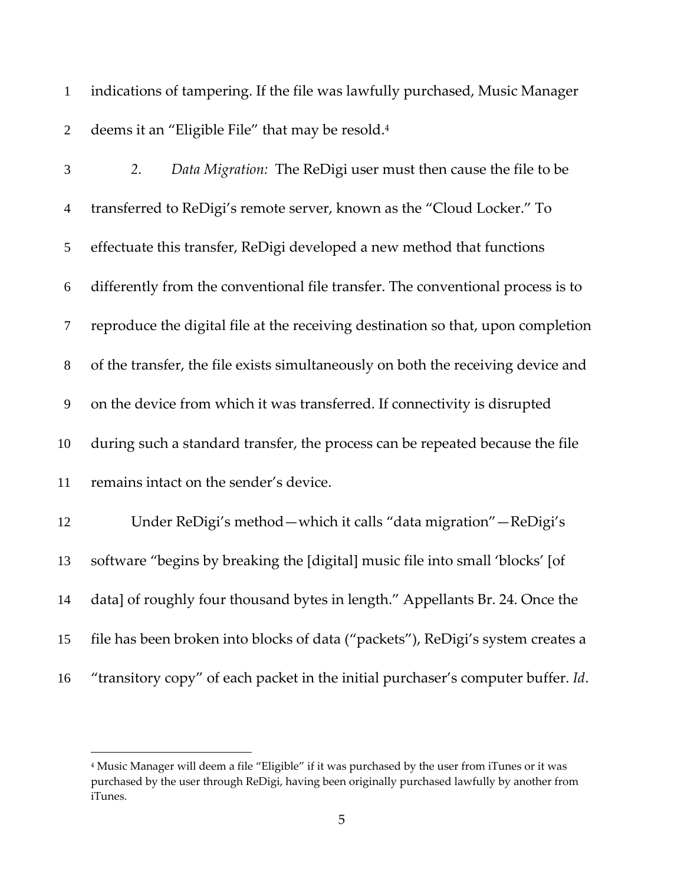indications of tampering. If the file was lawfully purchased, Music Manager 2 deems it an "Eligible File" that may be resold.<sup>4</sup>

| 3              | Data Migration: The ReDigi user must then cause the file to be<br>2.             |
|----------------|----------------------------------------------------------------------------------|
| $\overline{4}$ | transferred to ReDigi's remote server, known as the "Cloud Locker." To           |
| 5              | effectuate this transfer, ReDigi developed a new method that functions           |
| 6              | differently from the conventional file transfer. The conventional process is to  |
| $\tau$         | reproduce the digital file at the receiving destination so that, upon completion |
| $8\,$          | of the transfer, the file exists simultaneously on both the receiving device and |
| 9              | on the device from which it was transferred. If connectivity is disrupted        |
| 10             | during such a standard transfer, the process can be repeated because the file    |
| 11             | remains intact on the sender's device.                                           |
| 12             | Under ReDigi's method - which it calls "data migration" - ReDigi's               |
| 13             | software "begins by breaking the [digital] music file into small 'blocks' [of    |
| 14             | data] of roughly four thousand bytes in length." Appellants Br. 24. Once the     |
| 15             | file has been broken into blocks of data ("packets"), ReDigi's system creates a  |
|                |                                                                                  |

"transitory copy" of each packet in the initial purchaser's computer buffer. *Id*.

 Music Manager will deem a file "Eligible" if it was purchased by the user from iTunes or it was purchased by the user through ReDigi, having been originally purchased lawfully by another from iTunes.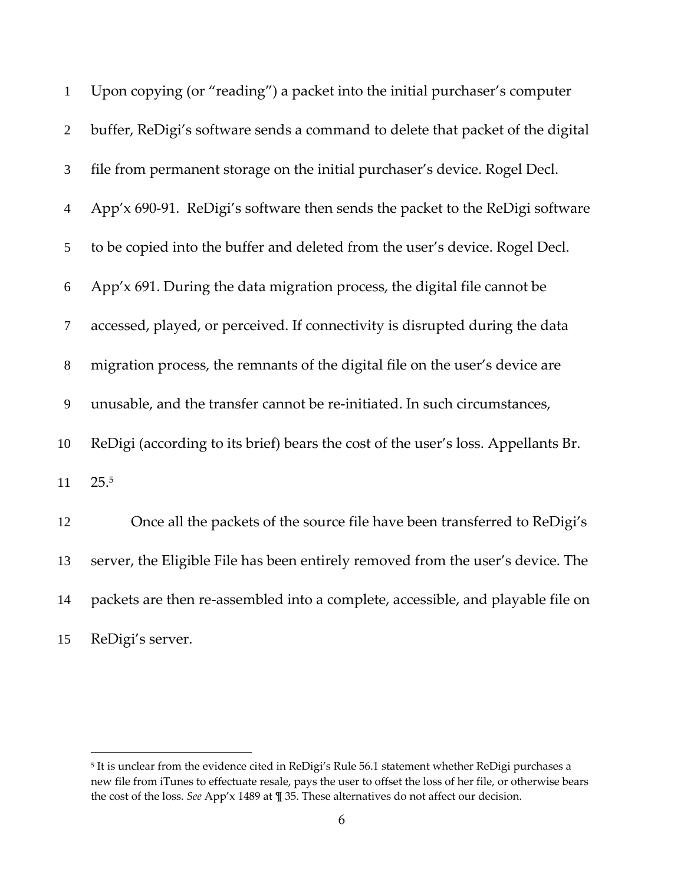| $\mathbf{1}$   | Upon copying (or "reading") a packet into the initial purchaser's computer        |
|----------------|-----------------------------------------------------------------------------------|
| $\overline{2}$ | buffer, ReDigi's software sends a command to delete that packet of the digital    |
| 3              | file from permanent storage on the initial purchaser's device. Rogel Decl.        |
| $\overline{4}$ | App'x 690-91. ReDigi's software then sends the packet to the ReDigi software      |
| 5              | to be copied into the buffer and deleted from the user's device. Rogel Decl.      |
| 6              | App'x 691. During the data migration process, the digital file cannot be          |
| $\tau$         | accessed, played, or perceived. If connectivity is disrupted during the data      |
| $8\,$          | migration process, the remnants of the digital file on the user's device are      |
| 9              | unusable, and the transfer cannot be re-initiated. In such circumstances,         |
| 10             | ReDigi (according to its brief) bears the cost of the user's loss. Appellants Br. |
| 11             | 25.5                                                                              |
| 12             | Once all the packets of the source file have been transferred to ReDigi's         |
| 13             | server, the Eligible File has been entirely removed from the user's device. The   |
| 14             | packets are then re-assembled into a complete, accessible, and playable file on   |
| 15             | ReDigi's server.                                                                  |

 It is unclear from the evidence cited in ReDigi's Rule 56.1 statement whether ReDigi purchases a new file from iTunes to effectuate resale, pays the user to offset the loss of her file, or otherwise bears the cost of the loss. *See* App'x 1489 at ¶ 35. These alternatives do not affect our decision.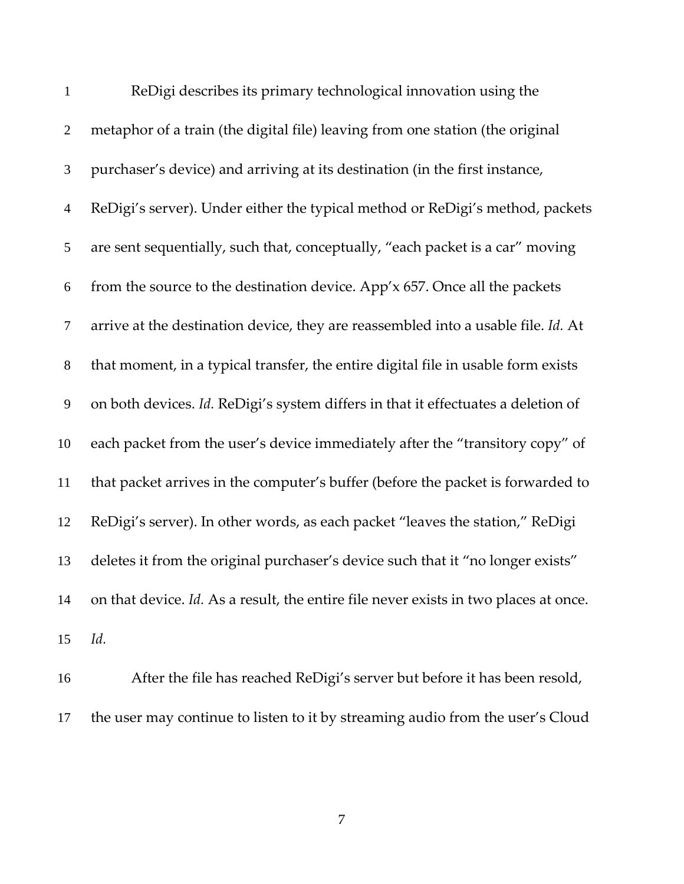| $\mathbf{1}$     | ReDigi describes its primary technological innovation using the                      |
|------------------|--------------------------------------------------------------------------------------|
| $\overline{2}$   | metaphor of a train (the digital file) leaving from one station (the original        |
| 3                | purchaser's device) and arriving at its destination (in the first instance,          |
| $\overline{4}$   | ReDigi's server). Under either the typical method or ReDigi's method, packets        |
| 5                | are sent sequentially, such that, conceptually, "each packet is a car" moving        |
| 6                | from the source to the destination device. App'x 657. Once all the packets           |
| $\boldsymbol{7}$ | arrive at the destination device, they are reassembled into a usable file. Id. At    |
| $8\,$            | that moment, in a typical transfer, the entire digital file in usable form exists    |
| $\boldsymbol{9}$ | on both devices. Id. ReDigi's system differs in that it effectuates a deletion of    |
| 10               | each packet from the user's device immediately after the "transitory copy" of        |
| 11               | that packet arrives in the computer's buffer (before the packet is forwarded to      |
| 12               | ReDigi's server). In other words, as each packet "leaves the station," ReDigi        |
| 13               | deletes it from the original purchaser's device such that it "no longer exists"      |
| 14               | on that device. Id. As a result, the entire file never exists in two places at once. |
| 15               | Id.                                                                                  |

After the file has reached ReDigi's server but before it has been resold, the user may continue to listen to it by streaming audio from the user's Cloud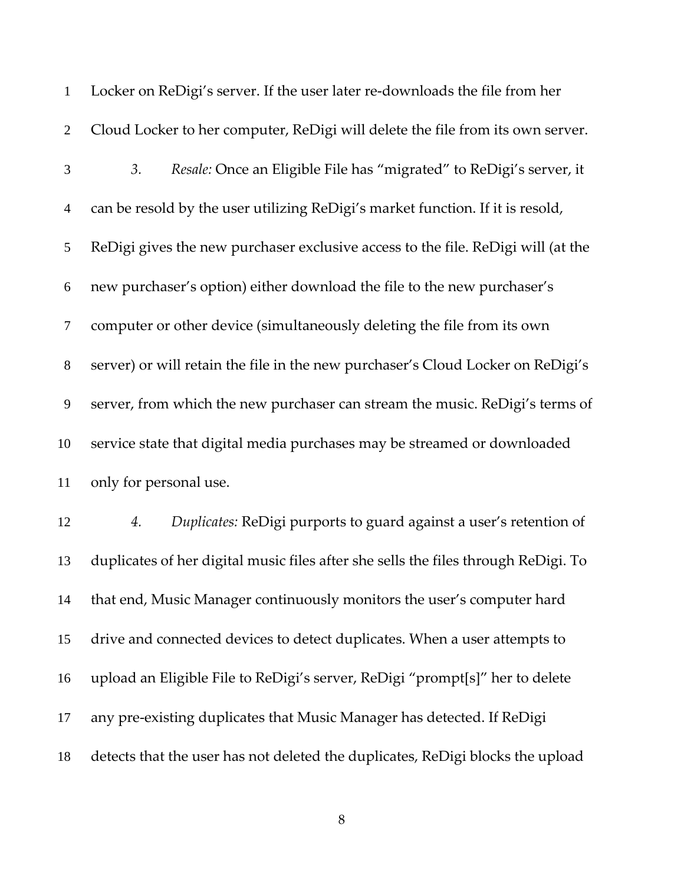| $\mathbf{1}$             | Locker on ReDigi's server. If the user later re-downloads the file from her        |
|--------------------------|------------------------------------------------------------------------------------|
| $\mathbf{2}$             | Cloud Locker to her computer, ReDigi will delete the file from its own server.     |
| 3                        | Resale: Once an Eligible File has "migrated" to ReDigi's server, it<br>3.          |
| $\overline{\mathcal{A}}$ | can be resold by the user utilizing ReDigi's market function. If it is resold,     |
| 5                        | ReDigi gives the new purchaser exclusive access to the file. ReDigi will (at the   |
| 6                        | new purchaser's option) either download the file to the new purchaser's            |
| $\tau$                   | computer or other device (simultaneously deleting the file from its own            |
| $8\,$                    | server) or will retain the file in the new purchaser's Cloud Locker on ReDigi's    |
| 9                        | server, from which the new purchaser can stream the music. ReDigi's terms of       |
| 10                       | service state that digital media purchases may be streamed or downloaded           |
| 11                       | only for personal use.                                                             |
| 12                       | Duplicates: ReDigi purports to guard against a user's retention of<br>4.           |
| 13                       | duplicates of her digital music files after she sells the files through ReDigi. To |
| 14                       | that end, Music Manager continuously monitors the user's computer hard             |
| 15                       | drive and connected devices to detect duplicates. When a user attempts to          |
| 16                       | upload an Eligible File to ReDigi's server, ReDigi "prompt[s]" her to delete       |
| 17                       | any pre-existing duplicates that Music Manager has detected. If ReDigi             |
| 18                       | detects that the user has not deleted the duplicates, ReDigi blocks the upload     |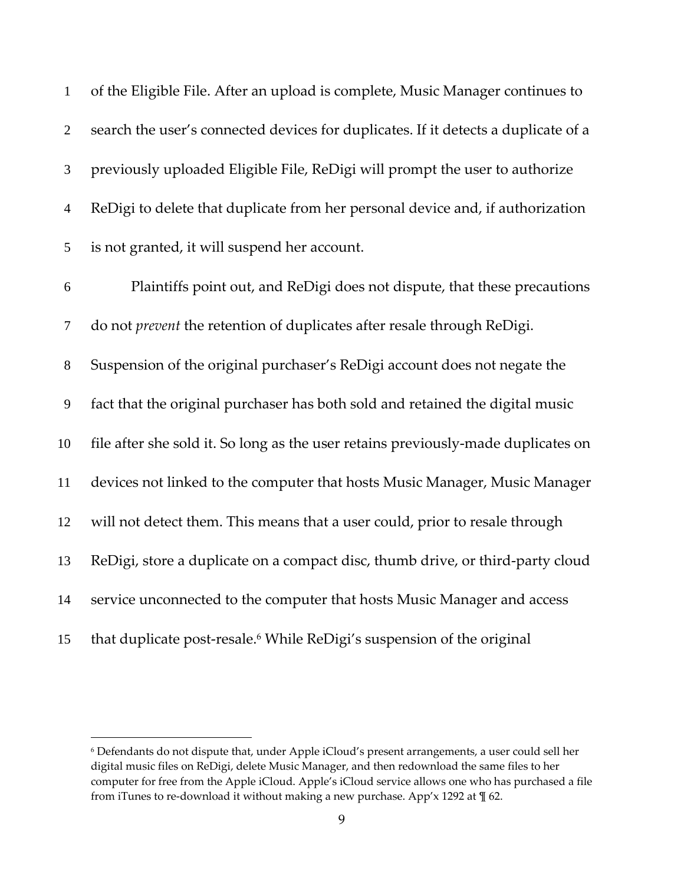| $\mathbf{1}$     | of the Eligible File. After an upload is complete, Music Manager continues to      |
|------------------|------------------------------------------------------------------------------------|
| $\overline{2}$   | search the user's connected devices for duplicates. If it detects a duplicate of a |
| 3                | previously uploaded Eligible File, ReDigi will prompt the user to authorize        |
| $\overline{4}$   | ReDigi to delete that duplicate from her personal device and, if authorization     |
| 5                | is not granted, it will suspend her account.                                       |
| 6                | Plaintiffs point out, and ReDigi does not dispute, that these precautions          |
| $\tau$           | do not <i>prevent</i> the retention of duplicates after resale through ReDigi.     |
| $8\,$            | Suspension of the original purchaser's ReDigi account does not negate the          |
| $\boldsymbol{9}$ | fact that the original purchaser has both sold and retained the digital music      |
| 10               | file after she sold it. So long as the user retains previously-made duplicates on  |
| 11               | devices not linked to the computer that hosts Music Manager, Music Manager         |
| 12               | will not detect them. This means that a user could, prior to resale through        |
| 13               | ReDigi, store a duplicate on a compact disc, thumb drive, or third-party cloud     |
| 14               | service unconnected to the computer that hosts Music Manager and access            |
| 15               | that duplicate post-resale. <sup>6</sup> While ReDigi's suspension of the original |

 Defendants do not dispute that, under Apple iCloud's present arrangements, a user could sell her digital music files on ReDigi, delete Music Manager, and then redownload the same files to her computer for free from the Apple iCloud. Apple's iCloud service allows one who has purchased a file from iTunes to re-download it without making a new purchase. App'x 1292 at  $\P$  62.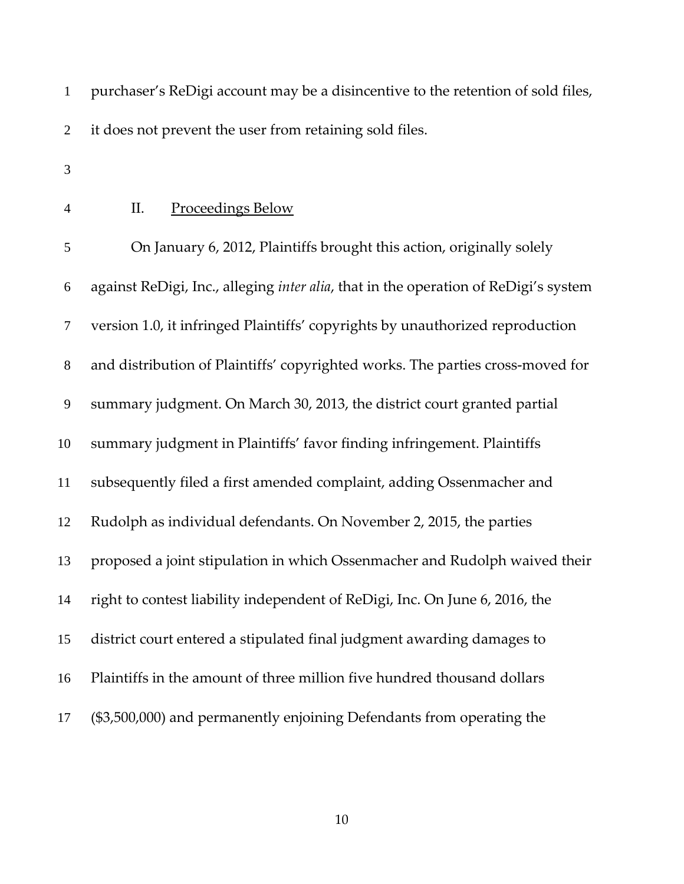purchaser's ReDigi account may be a disincentive to the retention of sold files, it does not prevent the user from retaining sold files. II. Proceedings Below On January 6, 2012, Plaintiffs brought this action, originally solely against ReDigi, Inc., alleging *inter alia*, that in the operation of ReDigi's system version 1.0, it infringed Plaintiffs' copyrights by unauthorized reproduction 8 and distribution of Plaintiffs' copyrighted works. The parties cross-moved for summary judgment. On March 30, 2013, the district court granted partial summary judgment in Plaintiffs' favor finding infringement. Plaintiffs subsequently filed a first amended complaint, adding Ossenmacher and Rudolph as individual defendants. On November 2, 2015, the parties proposed a joint stipulation in which Ossenmacher and Rudolph waived their right to contest liability independent of ReDigi, Inc. On June 6, 2016, the district court entered a stipulated final judgment awarding damages to Plaintiffs in the amount of three million five hundred thousand dollars (\$3,500,000) and permanently enjoining Defendants from operating the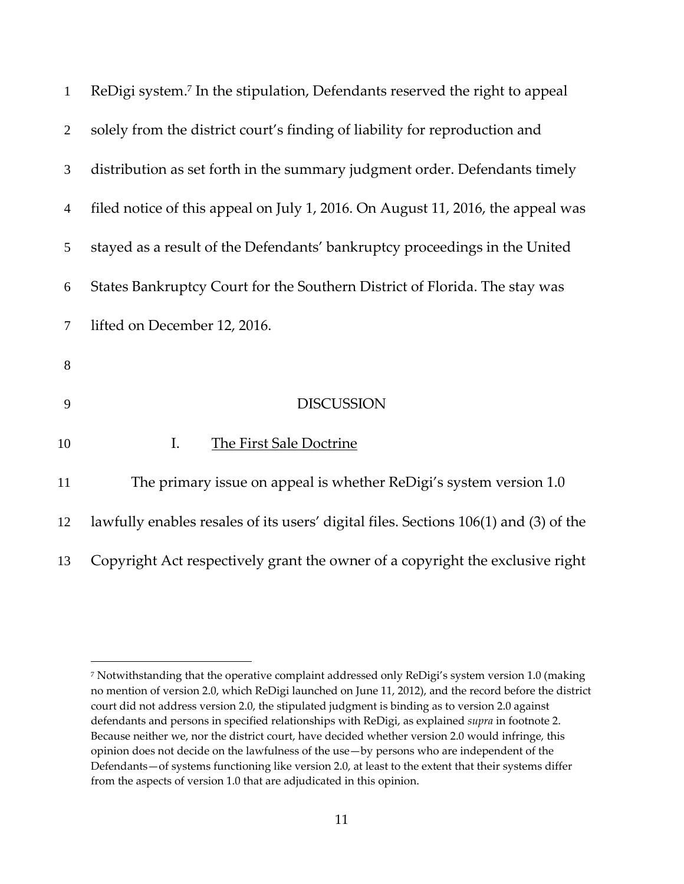| $\mathbf{1}$   | ReDigi system. <sup>7</sup> In the stipulation, Defendants reserved the right to appeal |
|----------------|-----------------------------------------------------------------------------------------|
| 2              | solely from the district court's finding of liability for reproduction and              |
| 3              | distribution as set forth in the summary judgment order. Defendants timely              |
| 4              | filed notice of this appeal on July 1, 2016. On August 11, 2016, the appeal was         |
| 5              | stayed as a result of the Defendants' bankruptcy proceedings in the United              |
| 6              | States Bankruptcy Court for the Southern District of Florida. The stay was              |
| $\overline{7}$ | lifted on December 12, 2016.                                                            |
| 8              |                                                                                         |
| 9              | <b>DISCUSSION</b>                                                                       |
| 10             | The First Sale Doctrine<br>I.                                                           |
| 11             | The primary issue on appeal is whether ReDigi's system version 1.0                      |
| 12             | lawfully enables resales of its users' digital files. Sections 106(1) and (3) of the    |
| 13             | Copyright Act respectively grant the owner of a copyright the exclusive right           |

 Notwithstanding that the operative complaint addressed only ReDigi's system version 1.0 (making no mention of version 2.0, which ReDigi launched on June 11, 2012), and the record before the district court did not address version 2.0, the stipulated judgment is binding as to version 2.0 against defendants and persons in specified relationships with ReDigi, as explained *supra* in footnote 2. Because neither we, nor the district court, have decided whether version 2.0 would infringe, this opinion does not decide on the lawfulness of the use—by persons who are independent of the Defendants—of systems functioning like version 2.0, at least to the extent that their systems differ from the aspects of version 1.0 that are adjudicated in this opinion.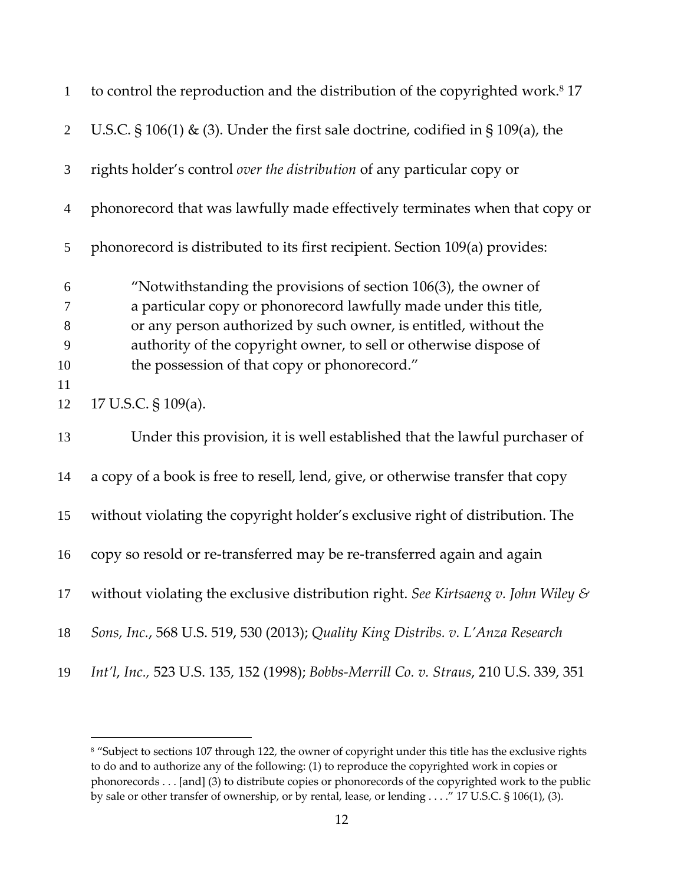| $\mathbf{1}$   | to control the reproduction and the distribution of the copyrighted work. <sup>8</sup> 17 |
|----------------|-------------------------------------------------------------------------------------------|
| $\overline{2}$ | U.S.C. $\S$ 106(1) & (3). Under the first sale doctrine, codified in $\S$ 109(a), the     |
| $\mathfrak{Z}$ | rights holder's control over the distribution of any particular copy or                   |
| $\overline{4}$ | phonorecord that was lawfully made effectively terminates when that copy or               |
| 5              | phonorecord is distributed to its first recipient. Section 109(a) provides:               |
| 6              | "Notwithstanding the provisions of section 106(3), the owner of                           |
| $\tau$         | a particular copy or phonorecord lawfully made under this title,                          |
| 8              | or any person authorized by such owner, is entitled, without the                          |
| 9              | authority of the copyright owner, to sell or otherwise dispose of                         |
| 10             | the possession of that copy or phonorecord."                                              |
| 11             |                                                                                           |
| 12             | 17 U.S.C. § 109(a).                                                                       |
| 13             | Under this provision, it is well established that the lawful purchaser of                 |
| 14             | a copy of a book is free to resell, lend, give, or otherwise transfer that copy           |
| 15             | without violating the copyright holder's exclusive right of distribution. The             |
| 16             | copy so resold or re-transferred may be re-transferred again and again                    |
| 17             | without violating the exclusive distribution right. See Kirtsaeng v. John Wiley &         |
| 18             | Sons, Inc., 568 U.S. 519, 530 (2013); Quality King Distribs. v. L'Anza Research           |
| 19             | Int'l, Inc., 523 U.S. 135, 152 (1998); Bobbs-Merrill Co. v. Straus, 210 U.S. 339, 351     |

<sup>&</sup>lt;sup>8</sup> "Subject to sections 107 through 122, the owner of copyright under this title has the exclusive rights to do and to authorize any of the following: (1) to reproduce the copyrighted work in copies or phonorecords . . . [and] (3) to distribute copies or phonorecords of the copyrighted work to the public by sale or other transfer of ownership, or by rental, lease, or lending . . . ." 17 U.S.C. § 106(1), (3).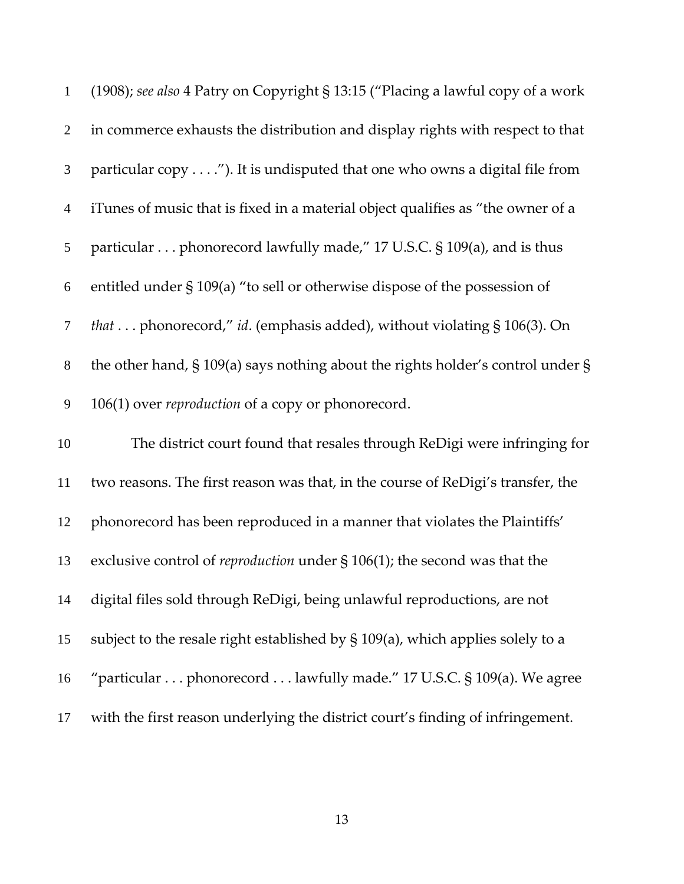| $\mathbf{1}$     | (1908); see also 4 Patry on Copyright § 13:15 ("Placing a lawful copy of a work     |
|------------------|-------------------------------------------------------------------------------------|
| $\overline{2}$   | in commerce exhausts the distribution and display rights with respect to that       |
| $\mathfrak{Z}$   | particular copy"). It is undisputed that one who owns a digital file from           |
| $\overline{4}$   | iTunes of music that is fixed in a material object qualifies as "the owner of a     |
| 5                | particular phonorecord lawfully made," 17 U.S.C. § 109(a), and is thus              |
| $\boldsymbol{6}$ | entitled under § 109(a) "to sell or otherwise dispose of the possession of          |
| $\tau$           | that  phonorecord," id. (emphasis added), without violating § 106(3). On            |
| $8\,$            | the other hand, § 109(a) says nothing about the rights holder's control under §     |
| $\mathbf{9}$     | 106(1) over reproduction of a copy or phonorecord.                                  |
| 10               | The district court found that resales through ReDigi were infringing for            |
| 11               | two reasons. The first reason was that, in the course of ReDigi's transfer, the     |
| 12               | phonorecord has been reproduced in a manner that violates the Plaintiffs'           |
| 13               | exclusive control of <i>reproduction</i> under $\S$ 106(1); the second was that the |
| 14               | digital files sold through ReDigi, being unlawful reproductions, are not            |
| 15               | subject to the resale right established by § 109(a), which applies solely to a      |
| 16               | "particular phonorecord lawfully made." 17 U.S.C. § 109(a). We agree                |
| 17               | with the first reason underlying the district court's finding of infringement.      |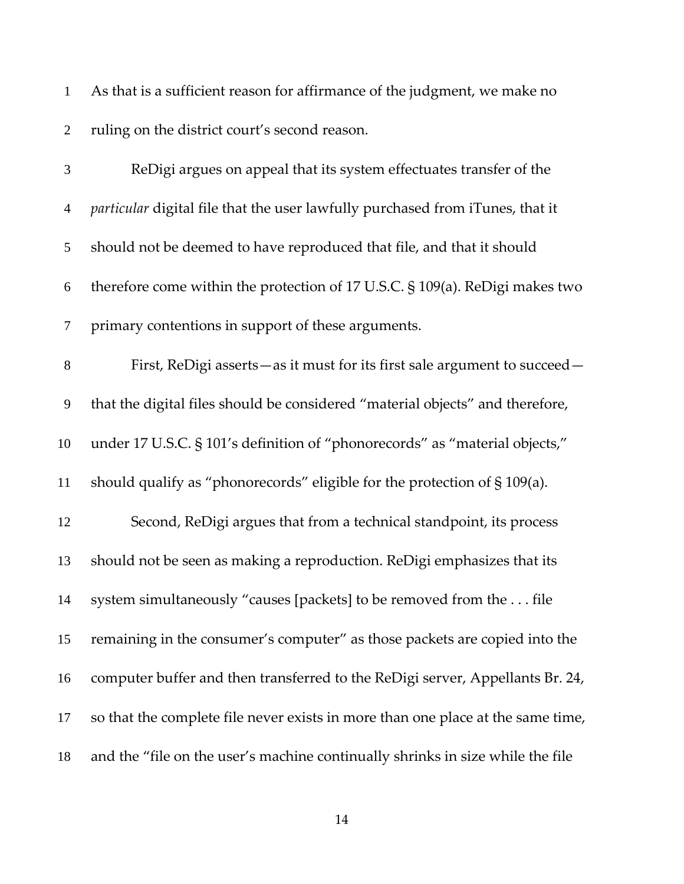| $\mathbf{1}$   | As that is a sufficient reason for affirmance of the judgment, we make no            |
|----------------|--------------------------------------------------------------------------------------|
| $\overline{2}$ | ruling on the district court's second reason.                                        |
| $\mathfrak{Z}$ | ReDigi argues on appeal that its system effectuates transfer of the                  |
| $\overline{4}$ | particular digital file that the user lawfully purchased from iTunes, that it        |
| 5              | should not be deemed to have reproduced that file, and that it should                |
| 6              | therefore come within the protection of $17$ U.S.C. $\S$ $109(a)$ . ReDigi makes two |
| $\tau$         | primary contentions in support of these arguments.                                   |
| $8\,$          | First, ReDigi asserts - as it must for its first sale argument to succeed -          |
| 9              | that the digital files should be considered "material objects" and therefore,        |
| 10             | under 17 U.S.C. § 101's definition of "phonorecords" as "material objects,"          |
| 11             | should qualify as "phonorecords" eligible for the protection of § 109(a).            |
| 12             | Second, ReDigi argues that from a technical standpoint, its process                  |
| 13             | should not be seen as making a reproduction. ReDigi emphasizes that its              |
| 14             | system simultaneously "causes [packets] to be removed from the file                  |
| 15             | remaining in the consumer's computer" as those packets are copied into the           |
| 16             | computer buffer and then transferred to the ReDigi server, Appellants Br. 24,        |
| 17             | so that the complete file never exists in more than one place at the same time,      |
| 18             | and the "file on the user's machine continually shrinks in size while the file       |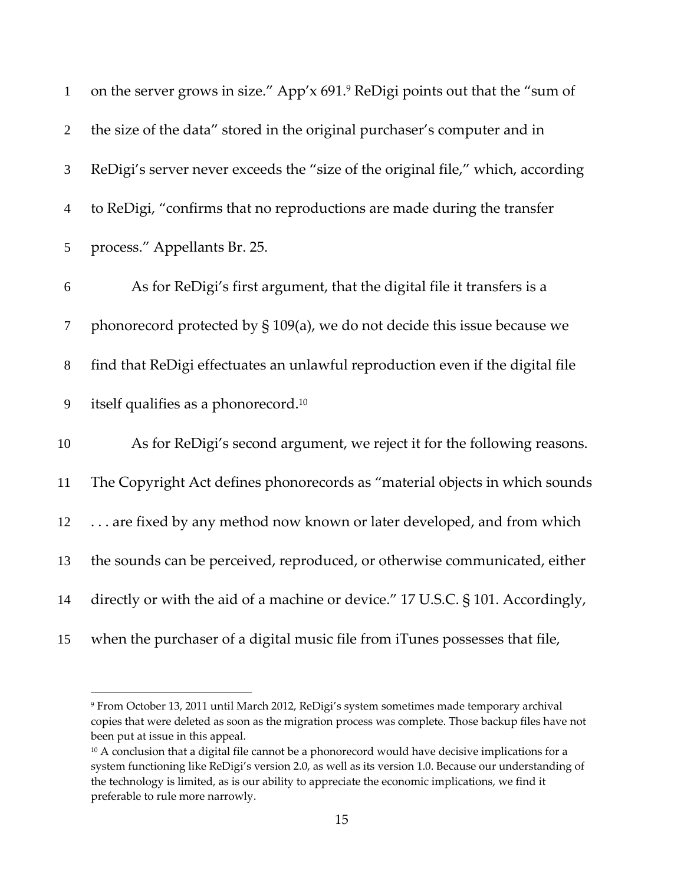| $\mathbf{1}$     | on the server grows in size." App'x 691.9 ReDigi points out that the "sum of    |
|------------------|---------------------------------------------------------------------------------|
| $\overline{2}$   | the size of the data" stored in the original purchaser's computer and in        |
| 3                | ReDigi's server never exceeds the "size of the original file," which, according |
| $\overline{4}$   | to ReDigi, "confirms that no reproductions are made during the transfer         |
| 5                | process." Appellants Br. 25.                                                    |
| $\boldsymbol{6}$ | As for ReDigi's first argument, that the digital file it transfers is a         |
| $\tau$           | phonorecord protected by § 109(a), we do not decide this issue because we       |
| $8\,$            | find that ReDigi effectuates an unlawful reproduction even if the digital file  |
| 9                | itself qualifies as a phonorecord. <sup>10</sup>                                |
| 10               | As for ReDigi's second argument, we reject it for the following reasons.        |
| 11               | The Copyright Act defines phonorecords as "material objects in which sounds     |
| 12               | are fixed by any method now known or later developed, and from which            |
| 13               | the sounds can be perceived, reproduced, or otherwise communicated, either      |
| 14               | directly or with the aid of a machine or device." 17 U.S.C. § 101. Accordingly, |
| 15               | when the purchaser of a digital music file from iTunes possesses that file,     |

 From October 13, 2011 until March 2012, ReDigi's system sometimes made temporary archival copies that were deleted as soon as the migration process was complete. Those backup files have not been put at issue in this appeal.

<sup>&</sup>lt;sup>10</sup> A conclusion that a digital file cannot be a phonorecord would have decisive implications for a system functioning like ReDigi's version 2.0, as well as its version 1.0. Because our understanding of the technology is limited, as is our ability to appreciate the economic implications, we find it preferable to rule more narrowly.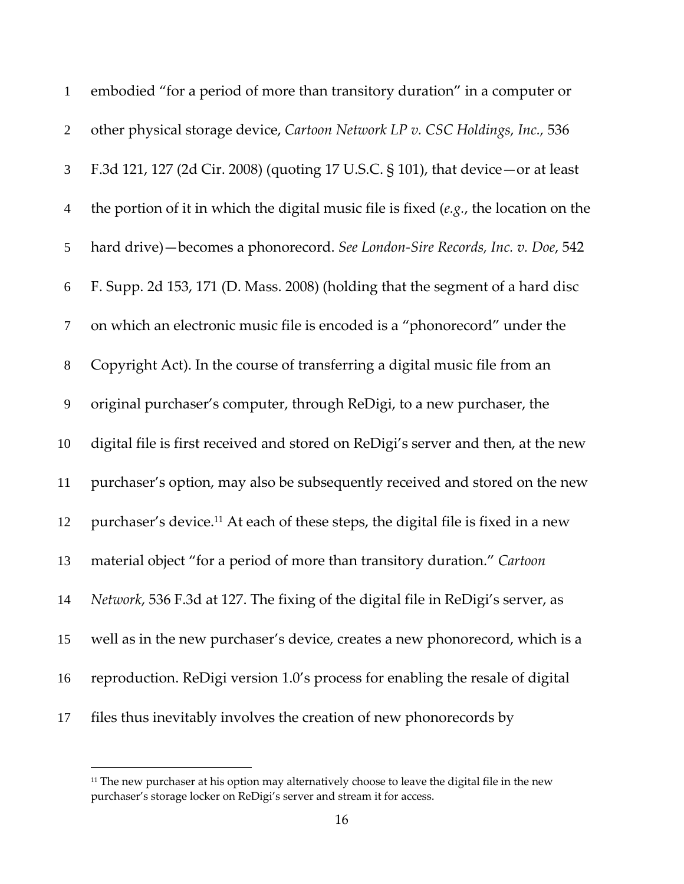| $\mathbf{1}$   | embodied "for a period of more than transitory duration" in a computer or                    |
|----------------|----------------------------------------------------------------------------------------------|
| $\mathbf{2}$   | other physical storage device, Cartoon Network LP v. CSC Holdings, Inc., 536                 |
| 3              | F.3d 121, 127 (2d Cir. 2008) (quoting 17 U.S.C. § 101), that device – or at least            |
| $\overline{4}$ | the portion of it in which the digital music file is fixed $(e.g.,$ the location on the      |
| 5              | hard drive) - becomes a phonorecord. See London-Sire Records, Inc. v. Doe, 542               |
| 6              | F. Supp. 2d 153, 171 (D. Mass. 2008) (holding that the segment of a hard disc                |
| $\tau$         | on which an electronic music file is encoded is a "phonorecord" under the                    |
| $8\,$          | Copyright Act). In the course of transferring a digital music file from an                   |
| 9              | original purchaser's computer, through ReDigi, to a new purchaser, the                       |
| 10             | digital file is first received and stored on ReDigi's server and then, at the new            |
| 11             | purchaser's option, may also be subsequently received and stored on the new                  |
| 12             | purchaser's device. <sup>11</sup> At each of these steps, the digital file is fixed in a new |
| 13             | material object "for a period of more than transitory duration." Cartoon                     |
| 14             | Network, 536 F.3d at 127. The fixing of the digital file in ReDigi's server, as              |
| 15             | well as in the new purchaser's device, creates a new phonorecord, which is a                 |
| 16             | reproduction. ReDigi version 1.0's process for enabling the resale of digital                |
| 17             | files thus inevitably involves the creation of new phonorecords by                           |

<sup>&</sup>lt;sup>11</sup> The new purchaser at his option may alternatively choose to leave the digital file in the new purchaser's storage locker on ReDigi's server and stream it for access.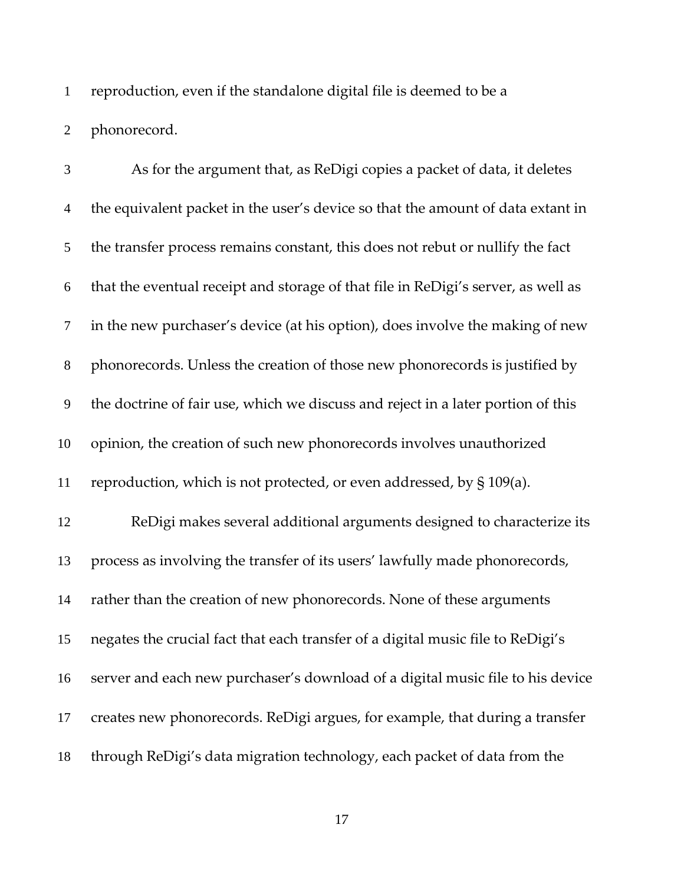reproduction, even if the standalone digital file is deemed to be a phonorecord.

As for the argument that, as ReDigi copies a packet of data, it deletes the equivalent packet in the user's device so that the amount of data extant in the transfer process remains constant, this does not rebut or nullify the fact that the eventual receipt and storage of that file in ReDigi's server, as well as in the new purchaser's device (at his option), does involve the making of new phonorecords. Unless the creation of those new phonorecords is justified by the doctrine of fair use, which we discuss and reject in a later portion of this opinion, the creation of such new phonorecords involves unauthorized reproduction, which is not protected, or even addressed, by § 109(a). ReDigi makes several additional arguments designed to characterize its process as involving the transfer of its users' lawfully made phonorecords, rather than the creation of new phonorecords. None of these arguments negates the crucial fact that each transfer of a digital music file to ReDigi's server and each new purchaser's download of a digital music file to his device creates new phonorecords. ReDigi argues, for example, that during a transfer through ReDigi's data migration technology, each packet of data from the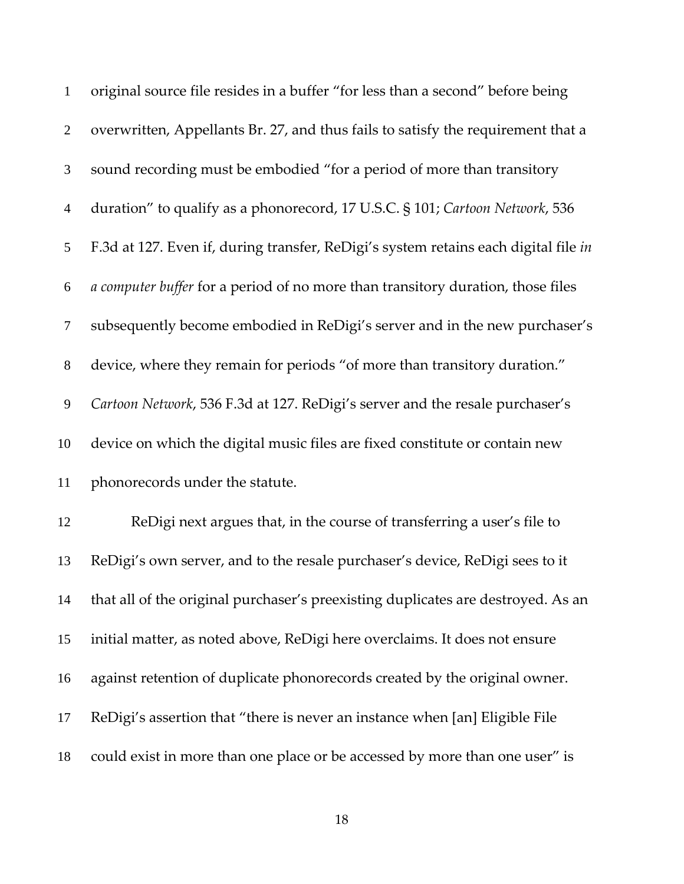| $\mathbf{1}$   | original source file resides in a buffer "for less than a second" before being      |
|----------------|-------------------------------------------------------------------------------------|
| $\overline{2}$ | overwritten, Appellants Br. 27, and thus fails to satisfy the requirement that a    |
| 3              | sound recording must be embodied "for a period of more than transitory              |
| $\overline{4}$ | duration" to qualify as a phonorecord, 17 U.S.C. § 101; Cartoon Network, 536        |
| 5              | F.3d at 127. Even if, during transfer, ReDigi's system retains each digital file in |
| 6              | a computer buffer for a period of no more than transitory duration, those files     |
| $\tau$         | subsequently become embodied in ReDigi's server and in the new purchaser's          |
| $8\,$          | device, where they remain for periods "of more than transitory duration."           |
| 9              | Cartoon Network, 536 F.3d at 127. ReDigi's server and the resale purchaser's        |
| 10             | device on which the digital music files are fixed constitute or contain new         |
| 11             | phonorecords under the statute.                                                     |
| 12             | ReDigi next argues that, in the course of transferring a user's file to             |
| 13             | ReDigi's own server, and to the resale purchaser's device, ReDigi sees to it        |
| 14             | that all of the original purchaser's preexisting duplicates are destroyed. As an    |
| 15             | initial matter, as noted above, ReDigi here overclaims. It does not ensure          |
| 16             | against retention of duplicate phonorecords created by the original owner.          |
| 17             | ReDigi's assertion that "there is never an instance when [an] Eligible File         |
| 18             | could exist in more than one place or be accessed by more than one user" is         |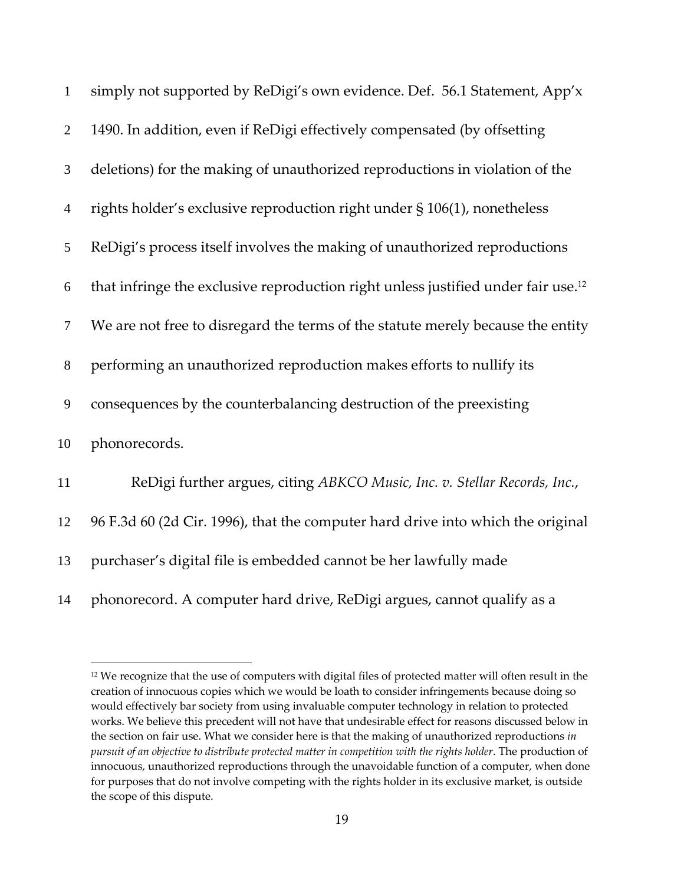| $\mathbf{1}$   | simply not supported by ReDigi's own evidence. Def. 56.1 Statement, App'x                     |
|----------------|-----------------------------------------------------------------------------------------------|
| $\overline{2}$ | 1490. In addition, even if ReDigi effectively compensated (by offsetting                      |
| 3              | deletions) for the making of unauthorized reproductions in violation of the                   |
| $\overline{4}$ | rights holder's exclusive reproduction right under § 106(1), nonetheless                      |
| 5              | ReDigi's process itself involves the making of unauthorized reproductions                     |
| 6              | that infringe the exclusive reproduction right unless justified under fair use. <sup>12</sup> |
| $\tau$         | We are not free to disregard the terms of the statute merely because the entity               |
| $\,8\,$        | performing an unauthorized reproduction makes efforts to nullify its                          |
| 9              | consequences by the counterbalancing destruction of the preexisting                           |
| 10             | phonorecords.                                                                                 |
| 11             | ReDigi further argues, citing ABKCO Music, Inc. v. Stellar Records, Inc.,                     |
| 12             | 96 F.3d 60 (2d Cir. 1996), that the computer hard drive into which the original               |
| 13             | purchaser's digital file is embedded cannot be her lawfully made                              |
| 14             | phonorecord. A computer hard drive, ReDigi argues, cannot qualify as a                        |

<sup>&</sup>lt;sup>12</sup> We recognize that the use of computers with digital files of protected matter will often result in the creation of innocuous copies which we would be loath to consider infringements because doing so would effectively bar society from using invaluable computer technology in relation to protected works. We believe this precedent will not have that undesirable effect for reasons discussed below in the section on fair use. What we consider here is that the making of unauthorized reproductions *in pursuit of an objective to distribute protected matter in competition with the rights holder*. The production of innocuous, unauthorized reproductions through the unavoidable function of a computer, when done for purposes that do not involve competing with the rights holder in its exclusive market, is outside the scope of this dispute.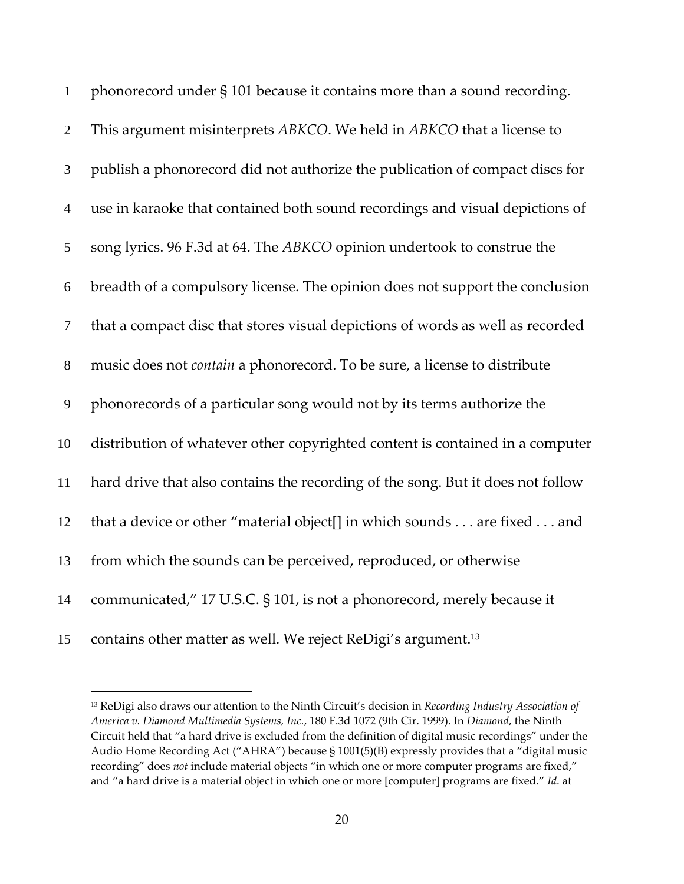| $\mathbf{1}$   | phonorecord under § 101 because it contains more than a sound recording.         |
|----------------|----------------------------------------------------------------------------------|
| $\overline{2}$ | This argument misinterprets ABKCO. We held in ABKCO that a license to            |
| 3              | publish a phonorecord did not authorize the publication of compact discs for     |
| $\overline{4}$ | use in karaoke that contained both sound recordings and visual depictions of     |
| 5              | song lyrics. 96 F.3d at 64. The ABKCO opinion undertook to construe the          |
| 6              | breadth of a compulsory license. The opinion does not support the conclusion     |
| $\tau$         | that a compact disc that stores visual depictions of words as well as recorded   |
| $8\,$          | music does not <i>contain</i> a phonorecord. To be sure, a license to distribute |
| 9              | phonorecords of a particular song would not by its terms authorize the           |
| 10             | distribution of whatever other copyrighted content is contained in a computer    |
| 11             | hard drive that also contains the recording of the song. But it does not follow  |
| 12             | that a device or other "material object[] in which sounds are fixed and          |
| 13             | from which the sounds can be perceived, reproduced, or otherwise                 |
| 14             | communicated," 17 U.S.C. § 101, is not a phonorecord, merely because it          |
| 15             | contains other matter as well. We reject ReDigi's argument. <sup>13</sup>        |

 ReDigi also draws our attention to the Ninth Circuit's decision in *Recording Industry Association of America v. Diamond Multimedia Systems, Inc.*, 180 F.3d 1072 (9th Cir. 1999). In *Diamond*, the Ninth Circuit held that "a hard drive is excluded from the definition of digital music recordings" under the Audio Home Recording Act ("AHRA") because § 1001(5)(B) expressly provides that a "digital music recording" does *not* include material objects "in which one or more computer programs are fixed," and "a hard drive is a material object in which one or more [computer] programs are fixed." *Id*. at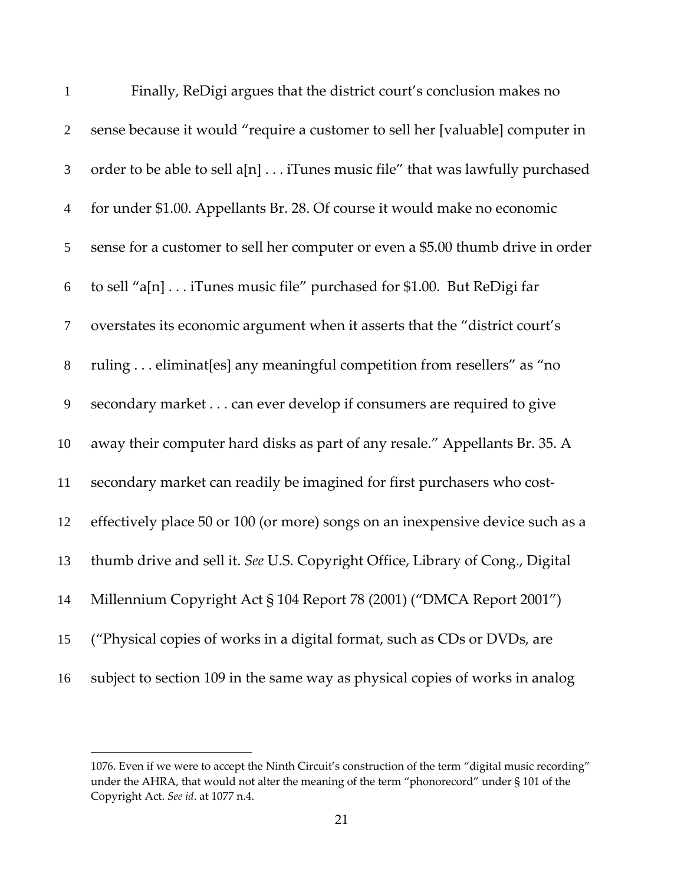| $\mathbf{1}$   | Finally, ReDigi argues that the district court's conclusion makes no            |
|----------------|---------------------------------------------------------------------------------|
| $\overline{2}$ | sense because it would "require a customer to sell her [valuable] computer in   |
| 3              | order to be able to sell a[n] iTunes music file" that was lawfully purchased    |
| $\overline{4}$ | for under \$1.00. Appellants Br. 28. Of course it would make no economic        |
| 5              | sense for a customer to sell her computer or even a \$5.00 thumb drive in order |
| 6              | to sell "a[n] iTunes music file" purchased for \$1.00. But ReDigi far           |
| $\tau$         | overstates its economic argument when it asserts that the "district court's     |
| $8\,$          | ruling eliminat[es] any meaningful competition from resellers" as "no           |
| $\overline{9}$ | secondary market can ever develop if consumers are required to give             |
| 10             | away their computer hard disks as part of any resale." Appellants Br. 35. A     |
| 11             | secondary market can readily be imagined for first purchasers who cost-         |
| 12             | effectively place 50 or 100 (or more) songs on an inexpensive device such as a  |
| 13             | thumb drive and sell it. See U.S. Copyright Office, Library of Cong., Digital   |
| 14             | Millennium Copyright Act § 104 Report 78 (2001) ("DMCA Report 2001")            |
| 15             | ("Physical copies of works in a digital format, such as CDs or DVDs, are        |
| 16             | subject to section 109 in the same way as physical copies of works in analog    |

<sup>1076.</sup> Even if we were to accept the Ninth Circuit's construction of the term "digital music recording" under the AHRA, that would not alter the meaning of the term "phonorecord" under § 101 of the Copyright Act. *See id*. at 1077 n.4.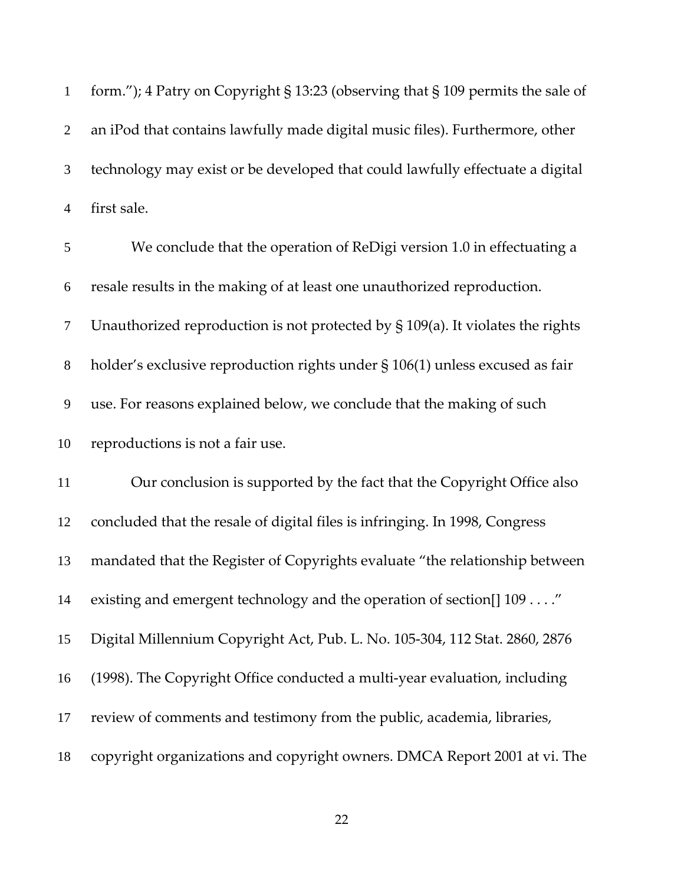form."); 4 Patry on Copyright § 13:23 (observing that § 109 permits the sale of an iPod that contains lawfully made digital music files). Furthermore, other technology may exist or be developed that could lawfully effectuate a digital first sale. We conclude that the operation of ReDigi version 1.0 in effectuating a resale results in the making of at least one unauthorized reproduction.

Unauthorized reproduction is not protected by § 109(a). It violates the rights

holder's exclusive reproduction rights under § 106(1) unless excused as fair

use. For reasons explained below, we conclude that the making of such

reproductions is not a fair use.

Our conclusion is supported by the fact that the Copyright Office also concluded that the resale of digital files is infringing. In 1998, Congress mandated that the Register of Copyrights evaluate "the relationship between existing and emergent technology and the operation of section[] 109 . . . ." Digital Millennium Copyright Act, Pub. L. No. 105‐304, 112 Stat. 2860, 2876 (1998). The Copyright Office conducted a multi‐year evaluation, including review of comments and testimony from the public, academia, libraries, copyright organizations and copyright owners. DMCA Report 2001 at vi. The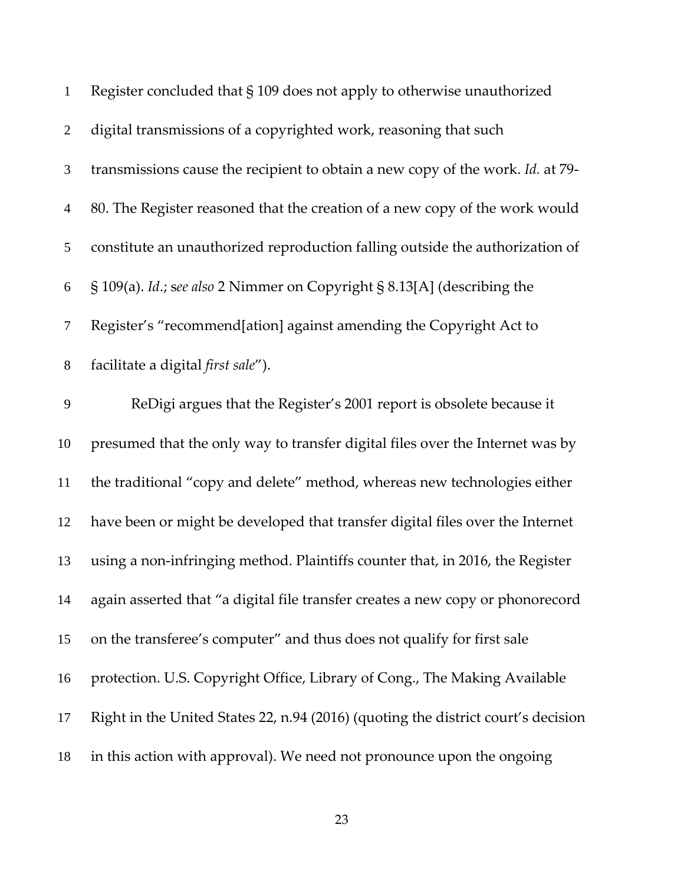| $\mathbf{1}$   | Register concluded that § 109 does not apply to otherwise unauthorized            |
|----------------|-----------------------------------------------------------------------------------|
| $\overline{2}$ | digital transmissions of a copyrighted work, reasoning that such                  |
| $\mathfrak{Z}$ | transmissions cause the recipient to obtain a new copy of the work. Id. at 79-    |
| $\overline{4}$ | 80. The Register reasoned that the creation of a new copy of the work would       |
| 5              | constitute an unauthorized reproduction falling outside the authorization of      |
| 6              | § 109(a). Id.; see also 2 Nimmer on Copyright § 8.13[A] (describing the           |
| $\tau$         | Register's "recommend[ation] against amending the Copyright Act to                |
| $8\,$          | facilitate a digital <i>first sale"</i> ).                                        |
| 9              | ReDigi argues that the Register's 2001 report is obsolete because it              |
| 10             | presumed that the only way to transfer digital files over the Internet was by     |
| 11             | the traditional "copy and delete" method, whereas new technologies either         |
| 12             | have been or might be developed that transfer digital files over the Internet     |
| 13             | using a non-infringing method. Plaintiffs counter that, in 2016, the Register     |
| 14             | again asserted that "a digital file transfer creates a new copy or phonorecord    |
| 15             | on the transferee's computer" and thus does not qualify for first sale            |
| 16             | protection. U.S. Copyright Office, Library of Cong., The Making Available         |
| 17             | Right in the United States 22, n.94 (2016) (quoting the district court's decision |
| 18             | in this action with approval). We need not pronounce upon the ongoing             |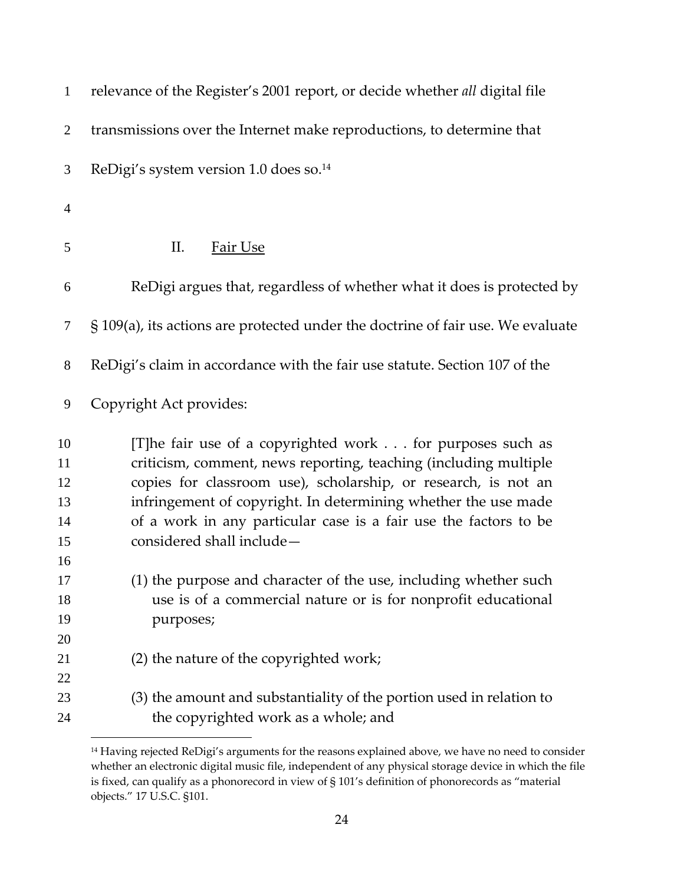| $\mathbf{1}$                     | relevance of the Register's 2001 report, or decide whether all digital file                                                                                                                                                                                                                                                                                        |
|----------------------------------|--------------------------------------------------------------------------------------------------------------------------------------------------------------------------------------------------------------------------------------------------------------------------------------------------------------------------------------------------------------------|
| $\overline{2}$                   | transmissions over the Internet make reproductions, to determine that                                                                                                                                                                                                                                                                                              |
| 3                                | ReDigi's system version 1.0 does so. <sup>14</sup>                                                                                                                                                                                                                                                                                                                 |
| $\overline{4}$                   |                                                                                                                                                                                                                                                                                                                                                                    |
| 5                                | II.<br>Fair Use                                                                                                                                                                                                                                                                                                                                                    |
| 6                                | ReDigi argues that, regardless of whether what it does is protected by                                                                                                                                                                                                                                                                                             |
| 7                                | $\S$ 109(a), its actions are protected under the doctrine of fair use. We evaluate                                                                                                                                                                                                                                                                                 |
| $8\,$                            | ReDigi's claim in accordance with the fair use statute. Section 107 of the                                                                                                                                                                                                                                                                                         |
| 9                                | Copyright Act provides:                                                                                                                                                                                                                                                                                                                                            |
| 10<br>11<br>12<br>13<br>14<br>15 | [T]he fair use of a copyrighted work for purposes such as<br>criticism, comment, news reporting, teaching (including multiple<br>copies for classroom use), scholarship, or research, is not an<br>infringement of copyright. In determining whether the use made<br>of a work in any particular case is a fair use the factors to be<br>considered shall include- |
| 16<br>17<br>18<br>19<br>20       | (1) the purpose and character of the use, including whether such<br>use is of a commercial nature or is for nonprofit educational<br>purposes;                                                                                                                                                                                                                     |
| 21<br>22                         | (2) the nature of the copyrighted work;                                                                                                                                                                                                                                                                                                                            |
| 23<br>24                         | (3) the amount and substantiality of the portion used in relation to<br>the copyrighted work as a whole; and                                                                                                                                                                                                                                                       |

<sup>&</sup>lt;sup>14</sup> Having rejected ReDigi's arguments for the reasons explained above, we have no need to consider whether an electronic digital music file, independent of any physical storage device in which the file is fixed, can qualify as a phonorecord in view of § 101's definition of phonorecords as "material objects." 17 U.S.C. §101.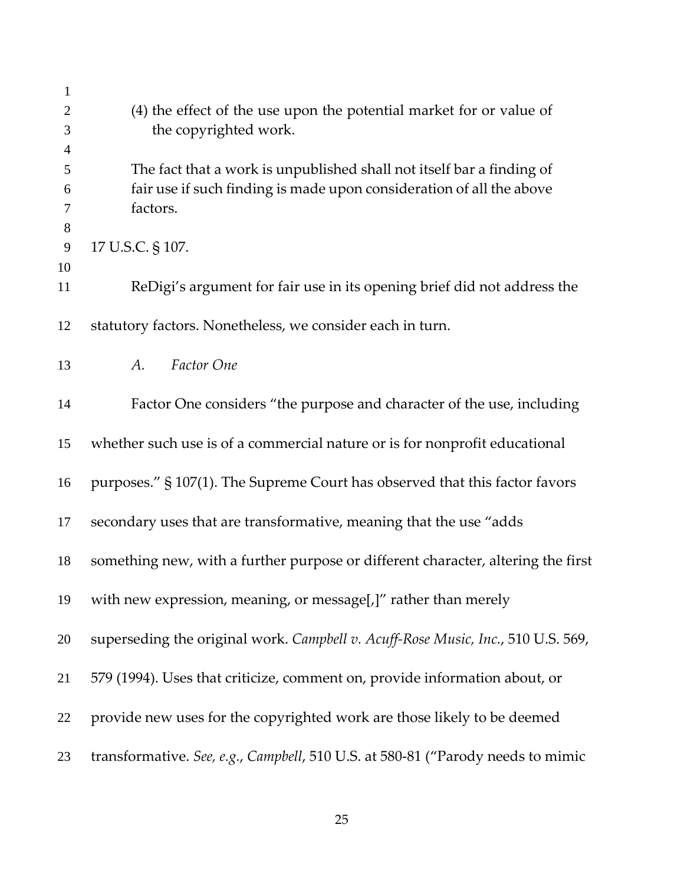| $\mathbf{1}$<br>$\overline{2}$ | (4) the effect of the use upon the potential market for or value of                                                                                       |
|--------------------------------|-----------------------------------------------------------------------------------------------------------------------------------------------------------|
| 3                              | the copyrighted work.                                                                                                                                     |
| $\overline{4}$<br>5<br>6<br>7  | The fact that a work is unpublished shall not itself bar a finding of<br>fair use if such finding is made upon consideration of all the above<br>factors. |
| 8                              |                                                                                                                                                           |
| 9<br>10                        | 17 U.S.C. § 107.                                                                                                                                          |
| 11                             | ReDigi's argument for fair use in its opening brief did not address the                                                                                   |
| 12                             | statutory factors. Nonetheless, we consider each in turn.                                                                                                 |
| 13                             | Factor One<br>A.                                                                                                                                          |
| 14                             | Factor One considers "the purpose and character of the use, including                                                                                     |
| 15                             | whether such use is of a commercial nature or is for nonprofit educational                                                                                |
| 16                             | purposes." § 107(1). The Supreme Court has observed that this factor favors                                                                               |
| 17                             | secondary uses that are transformative, meaning that the use "adds                                                                                        |
| 18                             | something new, with a further purpose or different character, altering the first                                                                          |
| 19                             | with new expression, meaning, or message[,]" rather than merely                                                                                           |
| 20                             | superseding the original work. Campbell v. Acuff-Rose Music, Inc., 510 U.S. 569,                                                                          |
| 21                             | 579 (1994). Uses that criticize, comment on, provide information about, or                                                                                |
| 22                             | provide new uses for the copyrighted work are those likely to be deemed                                                                                   |
| 23                             | transformative. See, e.g., Campbell, 510 U.S. at 580-81 ("Parody needs to mimic                                                                           |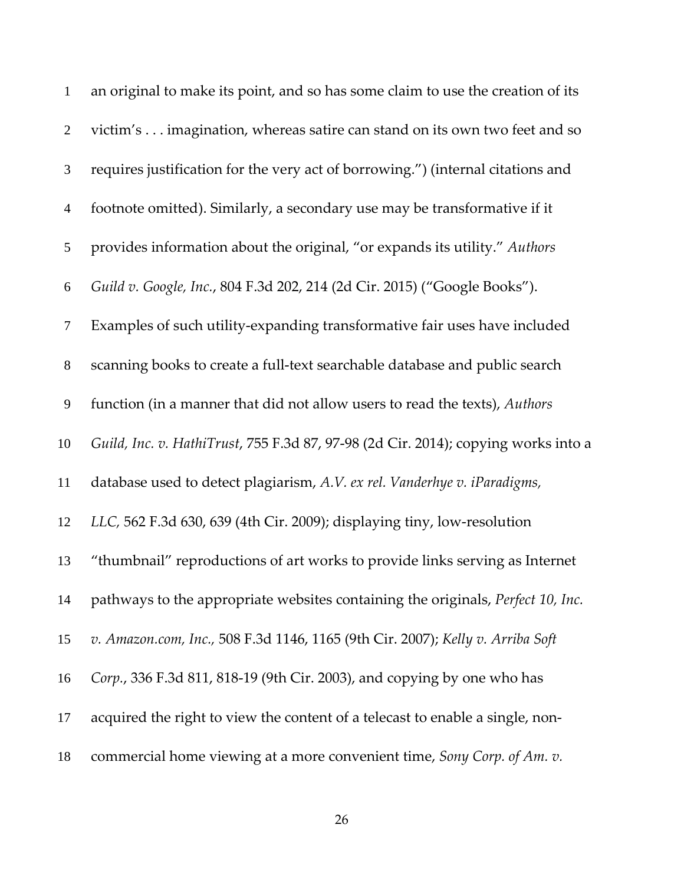| $\mathbf{1}$   | an original to make its point, and so has some claim to use the creation of its    |
|----------------|------------------------------------------------------------------------------------|
| $\mathbf{2}$   | victim's imagination, whereas satire can stand on its own two feet and so          |
| $\mathfrak{Z}$ | requires justification for the very act of borrowing.") (internal citations and    |
| $\overline{4}$ | footnote omitted). Similarly, a secondary use may be transformative if it          |
| 5              | provides information about the original, "or expands its utility." Authors         |
| 6              | Guild v. Google, Inc., 804 F.3d 202, 214 (2d Cir. 2015) ("Google Books").          |
| $\tau$         | Examples of such utility-expanding transformative fair uses have included          |
| $8\,$          | scanning books to create a full-text searchable database and public search         |
| 9              | function (in a manner that did not allow users to read the texts), Authors         |
| 10             | Guild, Inc. v. HathiTrust, 755 F.3d 87, 97-98 (2d Cir. 2014); copying works into a |
| 11             | database used to detect plagiarism, A.V. ex rel. Vanderhye v. iParadigms,          |
| 12             | LLC, 562 F.3d 630, 639 (4th Cir. 2009); displaying tiny, low-resolution            |
| 13             | "thumbnail" reproductions of art works to provide links serving as Internet        |
| 14             | pathways to the appropriate websites containing the originals, Perfect 10, Inc.    |
| 15             | v. Amazon.com, Inc., 508 F.3d 1146, 1165 (9th Cir. 2007); Kelly v. Arriba Soft     |
| 16             | Corp., 336 F.3d 811, 818-19 (9th Cir. 2003), and copying by one who has            |
| 17             | acquired the right to view the content of a telecast to enable a single, non-      |
| 18             | commercial home viewing at a more convenient time, Sony Corp. of Am. v.            |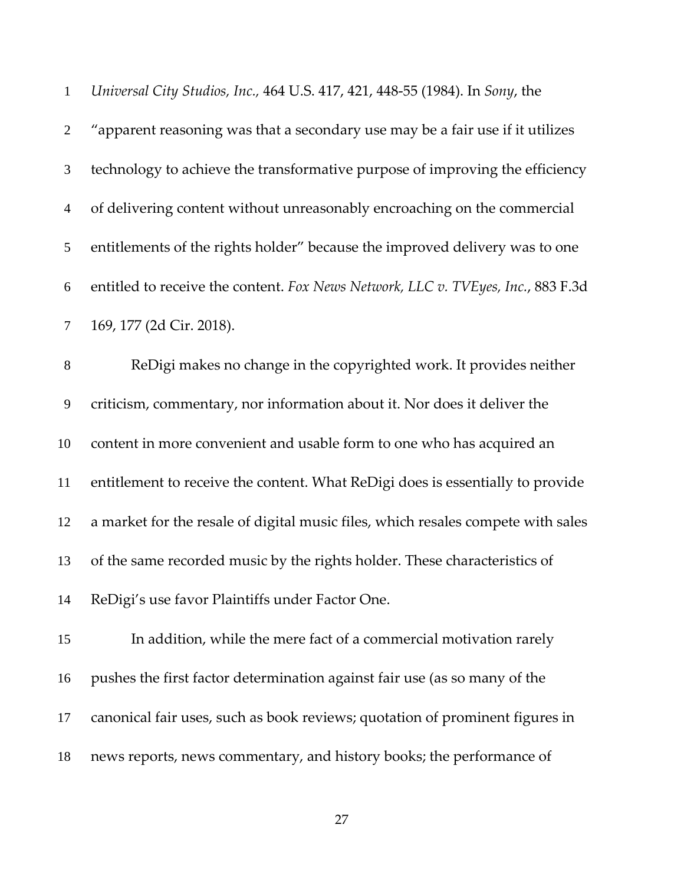| $\mathbf{1}$   | Universal City Studios, Inc., 464 U.S. 417, 421, 448-55 (1984). In Sony, the     |
|----------------|----------------------------------------------------------------------------------|
| $\overline{2}$ | "apparent reasoning was that a secondary use may be a fair use if it utilizes    |
| $\mathfrak{Z}$ | technology to achieve the transformative purpose of improving the efficiency     |
| $\overline{4}$ | of delivering content without unreasonably encroaching on the commercial         |
| 5              | entitlements of the rights holder" because the improved delivery was to one      |
| 6              | entitled to receive the content. Fox News Network, LLC v. TVEyes, Inc., 883 F.3d |
| $\tau$         | 169, 177 (2d Cir. 2018).                                                         |
| $\,8\,$        | ReDigi makes no change in the copyrighted work. It provides neither              |
| $\overline{9}$ | criticism, commentary, nor information about it. Nor does it deliver the         |
| 10             | content in more convenient and usable form to one who has acquired an            |
| 11             | entitlement to receive the content. What ReDigi does is essentially to provide   |
| 12             | a market for the resale of digital music files, which resales compete with sales |
| 13             | of the same recorded music by the rights holder. These characteristics of        |
| 14             | ReDigi's use favor Plaintiffs under Factor One.                                  |
| 15             | In addition, while the mere fact of a commercial motivation rarely               |
| 16             | pushes the first factor determination against fair use (as so many of the        |
| 17             | canonical fair uses, such as book reviews; quotation of prominent figures in     |
| 18             | news reports, news commentary, and history books; the performance of             |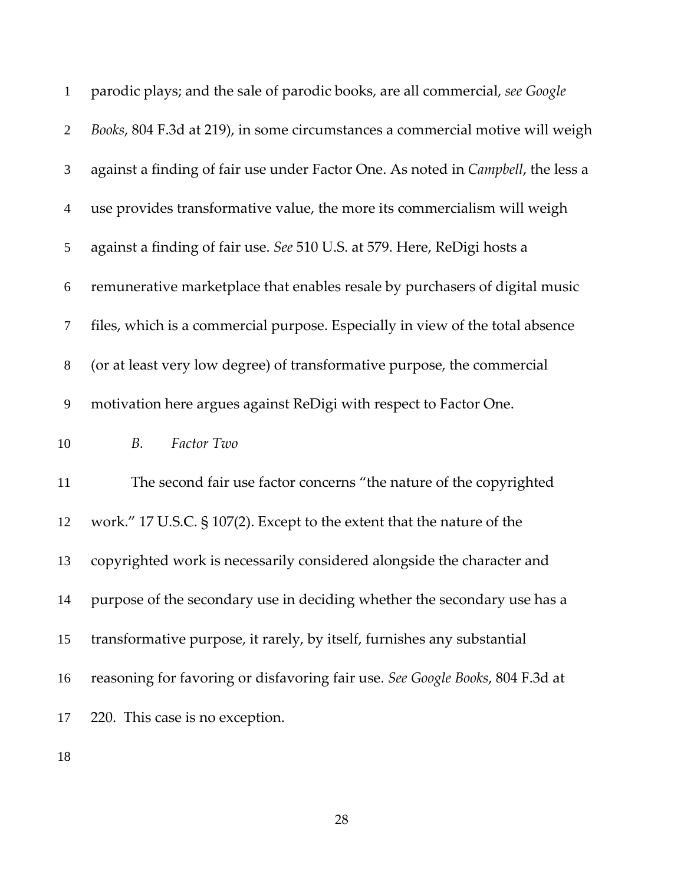| $\mathbf{1}$   | parodic plays; and the sale of parodic books, are all commercial, see Google             |
|----------------|------------------------------------------------------------------------------------------|
| $\overline{2}$ | Books, 804 F.3d at 219), in some circumstances a commercial motive will weigh            |
| 3              | against a finding of fair use under Factor One. As noted in <i>Campbell</i> , the less a |
| $\overline{4}$ | use provides transformative value, the more its commercialism will weigh                 |
| 5              | against a finding of fair use. See 510 U.S. at 579. Here, ReDigi hosts a                 |
| 6              | remunerative marketplace that enables resale by purchasers of digital music              |
| $\tau$         | files, which is a commercial purpose. Especially in view of the total absence            |
| $8\,$          | (or at least very low degree) of transformative purpose, the commercial                  |
| 9              | motivation here argues against ReDigi with respect to Factor One.                        |
| 10             | Factor Two<br>B.                                                                         |
| 11             | The second fair use factor concerns "the nature of the copyrighted                       |
| 12             | work." 17 U.S.C. § 107(2). Except to the extent that the nature of the                   |
| 13             | copyrighted work is necessarily considered alongside the character and                   |
| 14             | purpose of the secondary use in deciding whether the secondary use has a                 |
| 15             | transformative purpose, it rarely, by itself, furnishes any substantial                  |
| 16             | reasoning for favoring or disfavoring fair use. See Google Books, 804 F.3d at            |
| 17             | 220. This case is no exception.                                                          |
|                |                                                                                          |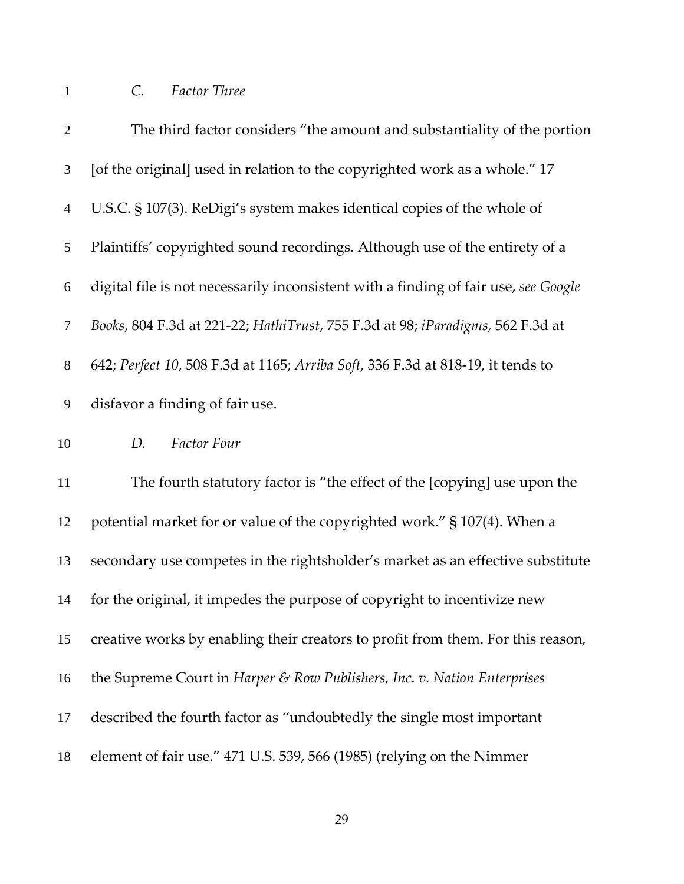## *C. Factor Three*

| $\overline{2}$   | The third factor considers "the amount and substantiality of the portion            |
|------------------|-------------------------------------------------------------------------------------|
| 3                | [of the original] used in relation to the copyrighted work as a whole." 17          |
| $\overline{4}$   | U.S.C. § 107(3). ReDigi's system makes identical copies of the whole of             |
| 5                | Plaintiffs' copyrighted sound recordings. Although use of the entirety of a         |
| 6                | digital file is not necessarily inconsistent with a finding of fair use, see Google |
| $\tau$           | Books, 804 F.3d at 221-22; HathiTrust, 755 F.3d at 98; iParadigms, 562 F.3d at      |
| $8\,$            | 642; Perfect 10, 508 F.3d at 1165; Arriba Soft, 336 F.3d at 818-19, it tends to     |
| $\boldsymbol{9}$ | disfavor a finding of fair use.                                                     |
| 10               | Factor Four<br>D.                                                                   |
| 11               | The fourth statutory factor is "the effect of the [copying] use upon the            |
| 12               | potential market for or value of the copyrighted work." § 107(4). When a            |
| 13               | secondary use competes in the rightsholder's market as an effective substitute      |
| 14               | for the original, it impedes the purpose of copyright to incentivize new            |
| 15               | creative works by enabling their creators to profit from them. For this reason,     |
| 16               | the Supreme Court in Harper & Row Publishers, Inc. v. Nation Enterprises            |
| 17               | described the fourth factor as "undoubtedly the single most important               |
| 18               | element of fair use." 471 U.S. 539, 566 (1985) (relying on the Nimmer               |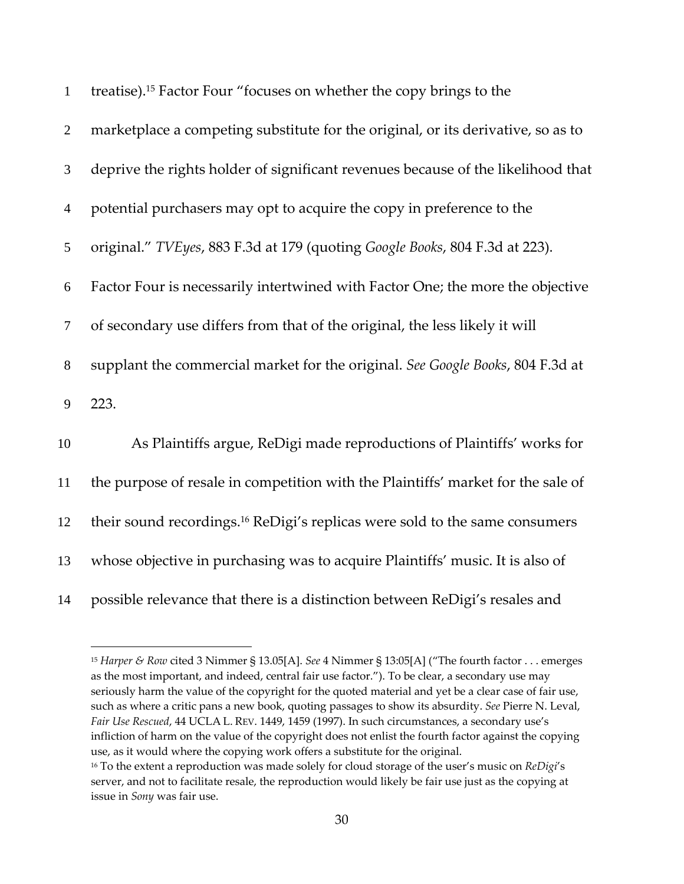| $\mathbf{1}$   | treatise). <sup>15</sup> Factor Four "focuses on whether the copy brings to the         |
|----------------|-----------------------------------------------------------------------------------------|
| $\overline{2}$ | marketplace a competing substitute for the original, or its derivative, so as to        |
| 3              | deprive the rights holder of significant revenues because of the likelihood that        |
| $\overline{4}$ | potential purchasers may opt to acquire the copy in preference to the                   |
| 5              | original." TVEyes, 883 F.3d at 179 (quoting Google Books, 804 F.3d at 223).             |
| 6              | Factor Four is necessarily intertwined with Factor One; the more the objective          |
| $\tau$         | of secondary use differs from that of the original, the less likely it will             |
| $8\,$          | supplant the commercial market for the original. See Google Books, 804 F.3d at          |
| 9              | 223.                                                                                    |
| 10             | As Plaintiffs argue, ReDigi made reproductions of Plaintiffs' works for                 |
| 11             | the purpose of resale in competition with the Plaintiffs' market for the sale of        |
| 12             | their sound recordings. <sup>16</sup> ReDigi's replicas were sold to the same consumers |
| 13             | whose objective in purchasing was to acquire Plaintiffs' music. It is also of           |
| 14             | possible relevance that there is a distinction between ReDigi's resales and             |

 *Harper & Row* cited 3 Nimmer § 13.05[A]. *See* 4 Nimmer § 13:05[A] ("The fourth factor . . . emerges as the most important, and indeed, central fair use factor."). To be clear, a secondary use may seriously harm the value of the copyright for the quoted material and yet be a clear case of fair use, such as where a critic pans a new book, quoting passages to show its absurdity. *See* Pierre N. Leval, *Fair Use Rescued*, 44 UCLA L. REV. 1449, 1459 (1997). In such circumstances, a secondary use's infliction of harm on the value of the copyright does not enlist the fourth factor against the copying use, as it would where the copying work offers a substitute for the original. To the extent a reproduction was made solely for cloud storage of the user's music on *ReDigi*'s

server, and not to facilitate resale, the reproduction would likely be fair use just as the copying at issue in *Sony* was fair use.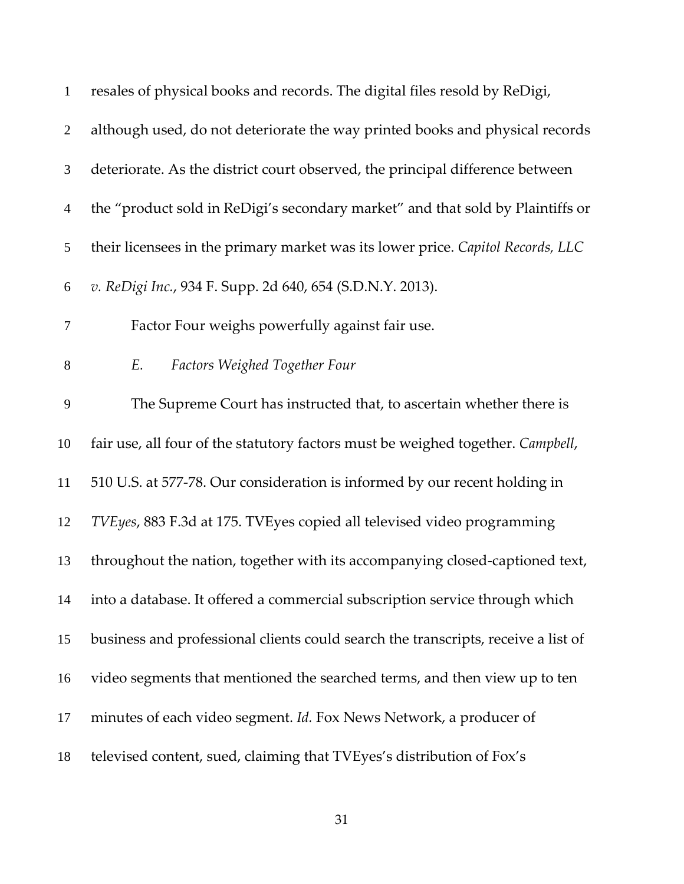| $\mathbf{1}$   | resales of physical books and records. The digital files resold by ReDigi,        |
|----------------|-----------------------------------------------------------------------------------|
| $\overline{2}$ | although used, do not deteriorate the way printed books and physical records      |
| 3              | deteriorate. As the district court observed, the principal difference between     |
| $\overline{4}$ | the "product sold in ReDigi's secondary market" and that sold by Plaintiffs or    |
| 5              | their licensees in the primary market was its lower price. Capitol Records, LLC   |
| 6              | v. ReDigi Inc., 934 F. Supp. 2d 640, 654 (S.D.N.Y. 2013).                         |
| $\tau$         | Factor Four weighs powerfully against fair use.                                   |
| $8\,$          | Factors Weighed Together Four<br>E.                                               |
| 9              | The Supreme Court has instructed that, to ascertain whether there is              |
| 10             | fair use, all four of the statutory factors must be weighed together. Campbell,   |
| 11             | 510 U.S. at 577-78. Our consideration is informed by our recent holding in        |
| 12             | TVEyes, 883 F.3d at 175. TVEyes copied all televised video programming            |
| 13             | throughout the nation, together with its accompanying closed-captioned text,      |
| 14             | into a database. It offered a commercial subscription service through which       |
| 15             | business and professional clients could search the transcripts, receive a list of |
| 16             | video segments that mentioned the searched terms, and then view up to ten         |
| 17             | minutes of each video segment. Id. Fox News Network, a producer of                |
| 18             | televised content, sued, claiming that TVEyes's distribution of Fox's             |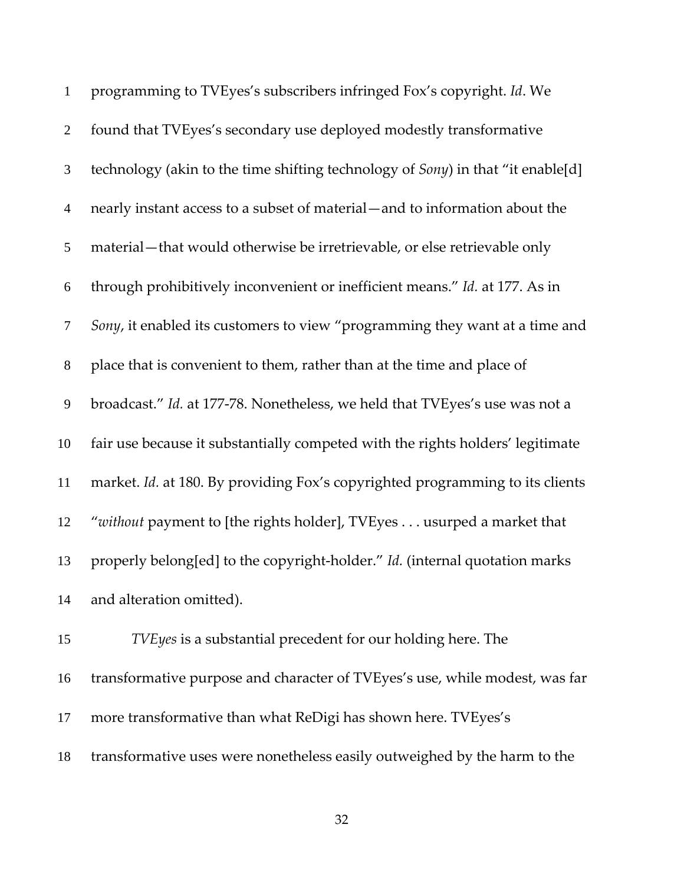| $\mathbf{1}$   | programming to TVEyes's subscribers infringed Fox's copyright. Id. We           |
|----------------|---------------------------------------------------------------------------------|
| $\overline{2}$ | found that TVEyes's secondary use deployed modestly transformative              |
| $\mathfrak{Z}$ | technology (akin to the time shifting technology of Sony) in that "it enable[d] |
| $\overline{4}$ | nearly instant access to a subset of material—and to information about the      |
| 5              | material—that would otherwise be irretrievable, or else retrievable only        |
| 6              | through prohibitively inconvenient or inefficient means." Id. at 177. As in     |
| $\tau$         | Sony, it enabled its customers to view "programming they want at a time and     |
| $8\,$          | place that is convenient to them, rather than at the time and place of          |
| 9              | broadcast." Id. at 177-78. Nonetheless, we held that TVEyes's use was not a     |
| 10             | fair use because it substantially competed with the rights holders' legitimate  |
| 11             | market. Id. at 180. By providing Fox's copyrighted programming to its clients   |
| 12             | "without payment to [the rights holder], TVEyes usurped a market that           |
| 13             | properly belong[ed] to the copyright-holder." Id. (internal quotation marks     |
| 14             | and alteration omitted).                                                        |
| 15             | TVEyes is a substantial precedent for our holding here. The                     |
| 16             | transformative purpose and character of TVEyes's use, while modest, was far     |
| 17             | more transformative than what ReDigi has shown here. TVEyes's                   |
| 18             | transformative uses were nonetheless easily outweighed by the harm to the       |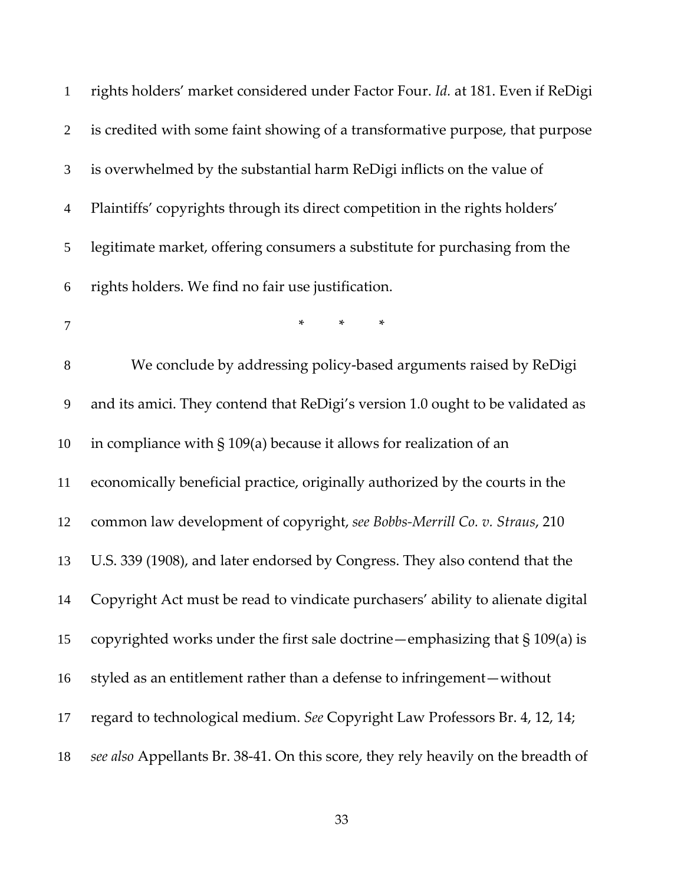| $\mathbf{1}$   | rights holders' market considered under Factor Four. Id. at 181. Even if ReDigi   |
|----------------|-----------------------------------------------------------------------------------|
| $\overline{2}$ | is credited with some faint showing of a transformative purpose, that purpose     |
| 3              | is overwhelmed by the substantial harm ReDigi inflicts on the value of            |
| $\overline{4}$ | Plaintiffs' copyrights through its direct competition in the rights holders'      |
| 5              | legitimate market, offering consumers a substitute for purchasing from the        |
| 6              | rights holders. We find no fair use justification.                                |
| 7              | $\ast$<br>$\ast$<br>$\ast$                                                        |
| 8              | We conclude by addressing policy-based arguments raised by ReDigi                 |
| 9              | and its amici. They contend that ReDigi's version 1.0 ought to be validated as    |
| 10             | in compliance with $\S$ 109(a) because it allows for realization of an            |
| 11             | economically beneficial practice, originally authorized by the courts in the      |
| 12             | common law development of copyright, see Bobbs-Merrill Co. v. Straus, 210         |
| 13             | U.S. 339 (1908), and later endorsed by Congress. They also contend that the       |
| 14             | Copyright Act must be read to vindicate purchasers' ability to alienate digital   |
| 15             | copyrighted works under the first sale doctrine - emphasizing that $\S 109(a)$ is |
| 16             | styled as an entitlement rather than a defense to infringement — without          |
| 17             | regard to technological medium. See Copyright Law Professors Br. 4, 12, 14;       |
| 18             | see also Appellants Br. 38-41. On this score, they rely heavily on the breadth of |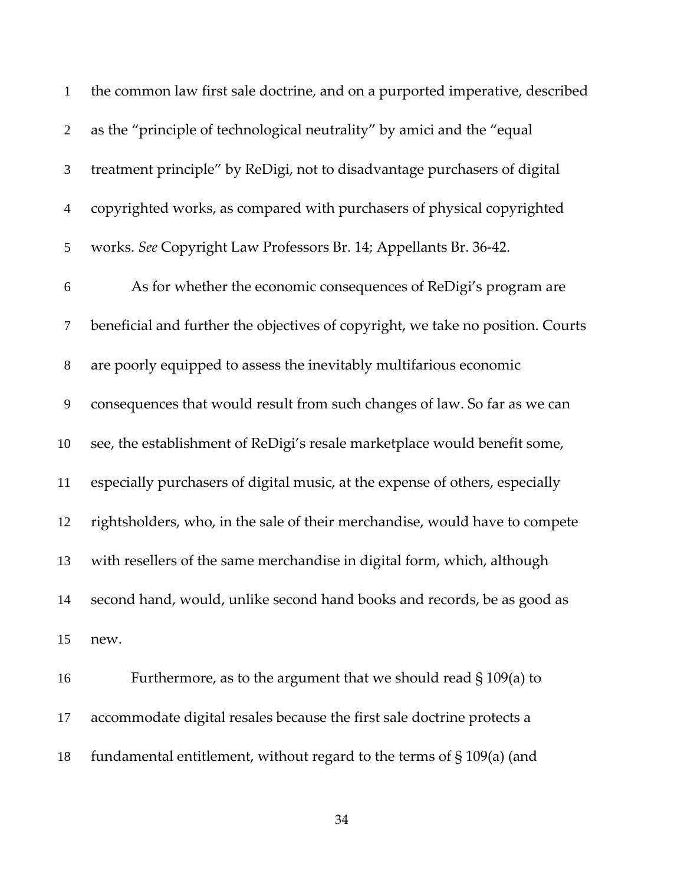| $\mathbf{1}$   | the common law first sale doctrine, and on a purported imperative, described    |
|----------------|---------------------------------------------------------------------------------|
| $\overline{2}$ | as the "principle of technological neutrality" by amici and the "equal          |
| 3              | treatment principle" by ReDigi, not to disadvantage purchasers of digital       |
| $\overline{4}$ | copyrighted works, as compared with purchasers of physical copyrighted          |
| 5              | works. See Copyright Law Professors Br. 14; Appellants Br. 36-42.               |
| 6              | As for whether the economic consequences of ReDigi's program are                |
| $\tau$         | beneficial and further the objectives of copyright, we take no position. Courts |
| $8\,$          | are poorly equipped to assess the inevitably multifarious economic              |
| 9              | consequences that would result from such changes of law. So far as we can       |
| 10             | see, the establishment of ReDigi's resale marketplace would benefit some,       |
| 11             | especially purchasers of digital music, at the expense of others, especially    |
| 12             | rightsholders, who, in the sale of their merchandise, would have to compete     |
| 13             | with resellers of the same merchandise in digital form, which, although         |
| 14             | second hand, would, unlike second hand books and records, be as good as         |
| 15             | new.                                                                            |
| 16             | Furthermore, as to the argument that we should read $\S 109(a)$ to              |
| 17             | accommodate digital resales because the first sale doctrine protects a          |
| 18             | fundamental entitlement, without regard to the terms of $\S 109(a)$ (and        |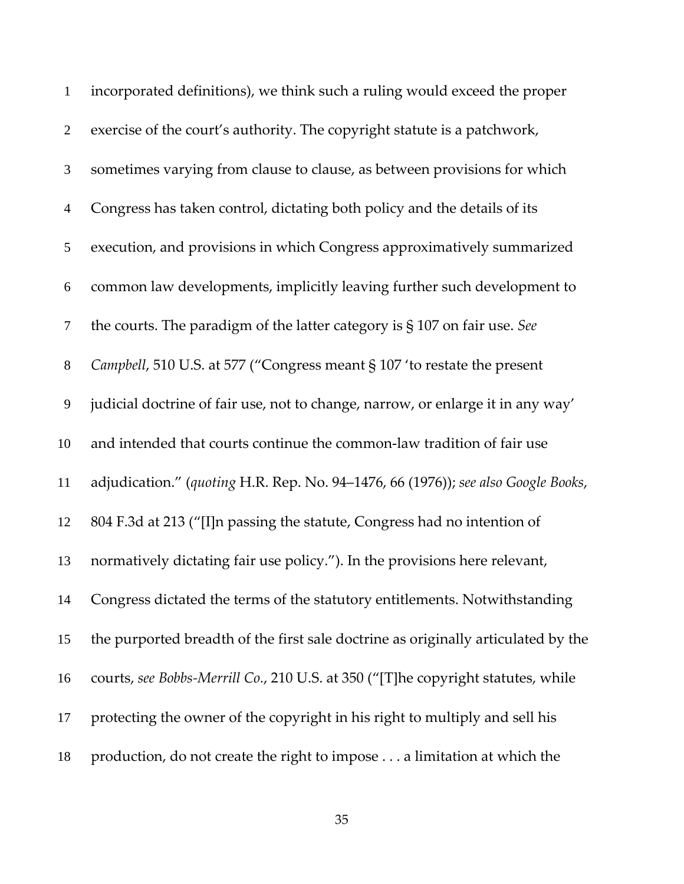| $\mathbf{1}$   | incorporated definitions), we think such a ruling would exceed the proper         |
|----------------|-----------------------------------------------------------------------------------|
| $\overline{2}$ | exercise of the court's authority. The copyright statute is a patchwork,          |
| 3              | sometimes varying from clause to clause, as between provisions for which          |
| $\overline{4}$ | Congress has taken control, dictating both policy and the details of its          |
| 5              | execution, and provisions in which Congress approximatively summarized            |
| 6              | common law developments, implicitly leaving further such development to           |
| $\tau$         | the courts. The paradigm of the latter category is $\S 107$ on fair use. See      |
| $8\,$          | Campbell, 510 U.S. at 577 ("Congress meant § 107 'to restate the present          |
| 9              | judicial doctrine of fair use, not to change, narrow, or enlarge it in any way'   |
| 10             | and intended that courts continue the common-law tradition of fair use            |
| 11             | adjudication." (quoting H.R. Rep. No. 94-1476, 66 (1976)); see also Google Books, |
| 12             | 804 F.3d at 213 ("[I]n passing the statute, Congress had no intention of          |
| 13             | normatively dictating fair use policy."). In the provisions here relevant,        |
| 14             | Congress dictated the terms of the statutory entitlements. Notwithstanding        |
| 15             | the purported breadth of the first sale doctrine as originally articulated by the |
| 16             | courts, see Bobbs-Merrill Co., 210 U.S. at 350 ("[T]he copyright statutes, while  |
| 17             | protecting the owner of the copyright in his right to multiply and sell his       |
| 18             | production, do not create the right to impose a limitation at which the           |